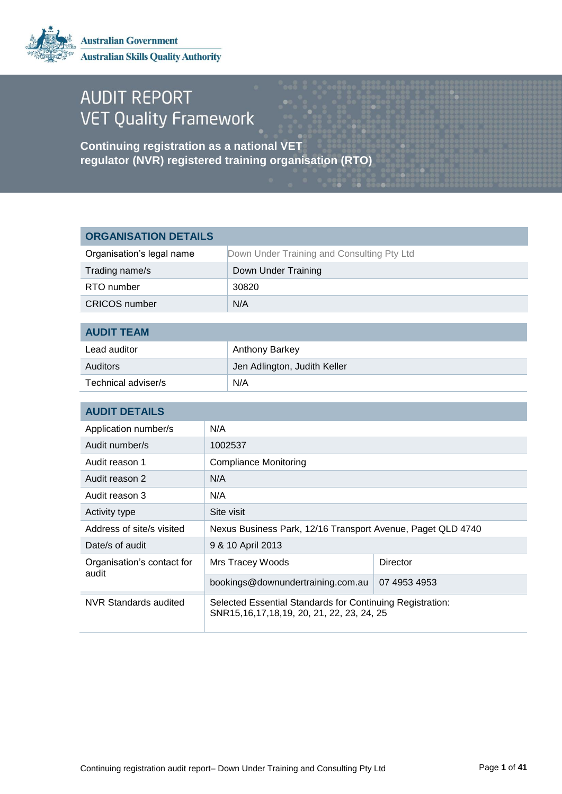

# **AUDIT REPORT VET Quality Framework**

**Continuing registration as a national VET regulator (NVR) registered training organisation (RTO)**

| <b>ORGANISATION DETAILS</b>         |     |                                                                                                        |              |
|-------------------------------------|-----|--------------------------------------------------------------------------------------------------------|--------------|
| Organisation's legal name           |     | Down Under Training and Consulting Pty Ltd                                                             |              |
| Trading name/s                      |     | Down Under Training                                                                                    |              |
| RTO number                          |     | 30820                                                                                                  |              |
| <b>CRICOS</b> number                |     | N/A                                                                                                    |              |
|                                     |     |                                                                                                        |              |
| <b>AUDIT TEAM</b>                   |     |                                                                                                        |              |
| Lead auditor                        |     | Anthony Barkey                                                                                         |              |
| <b>Auditors</b>                     |     | Jen Adlington, Judith Keller                                                                           |              |
| Technical adviser/s                 |     | N/A                                                                                                    |              |
|                                     |     |                                                                                                        |              |
| <b>AUDIT DETAILS</b>                |     |                                                                                                        |              |
| Application number/s                | N/A |                                                                                                        |              |
| Audit number/s                      |     | 1002537                                                                                                |              |
| Audit reason 1                      |     | <b>Compliance Monitoring</b>                                                                           |              |
| Audit reason 2                      | N/A |                                                                                                        |              |
| Audit reason 3                      | N/A |                                                                                                        |              |
| Activity type                       |     | Site visit                                                                                             |              |
| Address of site/s visited           |     | Nexus Business Park, 12/16 Transport Avenue, Paget QLD 4740                                            |              |
| Date/s of audit                     |     | 9 & 10 April 2013                                                                                      |              |
| Organisation's contact for<br>audit |     | Mrs Tracey Woods                                                                                       | Director     |
|                                     |     | bookings@downundertraining.com.au                                                                      | 07 4953 4953 |
| <b>NVR Standards audited</b>        |     | Selected Essential Standards for Continuing Registration:<br>SNR15,16,17,18,19, 20, 21, 22, 23, 24, 25 |              |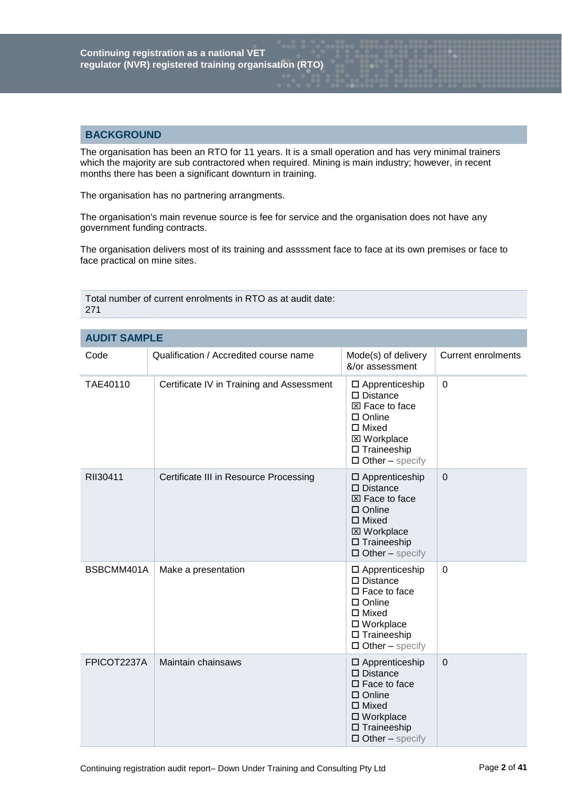# **BACKGROUND**

The organisation has been an RTO for 11 years. It is a small operation and has very minimal trainers which the majority are sub contractored when required. Mining is main industry; however, in recent months there has been a significant downturn in training.

The organisation has no partnering arrangments.

The organisation's main revenue source is fee for service and the organisation does not have any government funding contracts.

The organisation delivers most of its training and assssment face to face at its own premises or face to face practical on mine sites.

| <b>AUDIT SAMPLE</b> |                                           |                                                                                                                                                                                |                           |
|---------------------|-------------------------------------------|--------------------------------------------------------------------------------------------------------------------------------------------------------------------------------|---------------------------|
| Code                | Qualification / Accredited course name    | Mode(s) of delivery<br>&/or assessment                                                                                                                                         | <b>Current enrolments</b> |
| TAE40110            | Certificate IV in Training and Assessment | $\square$ Apprenticeship<br>$\square$ Distance<br>⊠ Face to face<br>$\square$ Online<br>$\square$ Mixed<br><b>⊠</b> Workplace<br>$\Box$ Traineeship<br>$\Box$ Other - specify  | $\overline{0}$            |
| RII30411            | Certificate III in Resource Processing    | $\square$ Apprenticeship<br>$\square$ Distance<br>⊠ Face to face<br>$\square$ Online<br>$\Box$ Mixed<br><b>⊠ Workplace</b><br>$\square$ Traineeship<br>$\Box$ Other – specify  | $\mathbf 0$               |
| BSBCMM401A          | Make a presentation                       | $\square$ Apprenticeship<br>$\square$ Distance<br>$\square$ Face to face<br>$\square$ Online<br>$\Box$ Mixed<br>□ Workplace<br>$\Box$ Traineeship<br>$\Box$ Other – specify    | $\mathbf 0$               |
| FPICOT2237A         | Maintain chainsaws                        | $\square$ Apprenticeship<br>$\square$ Distance<br>$\square$ Face to face<br>$\square$ Online<br>$\Box$ Mixed<br>□ Workplace<br>$\square$ Traineeship<br>$\Box$ Other – specify | $\mathbf 0$               |

Total number of current enrolments in RTO as at audit date: 271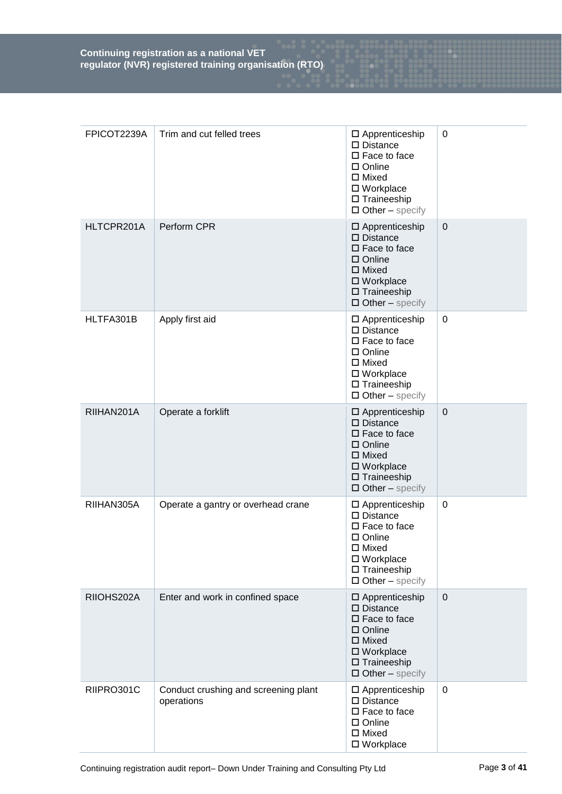| FPICOT2239A | Trim and cut felled trees                          | □ Apprenticeship<br>$\square$ Distance<br>$\square$ Face to face<br>$\Box$ Online<br>$\Box$ Mixed<br>□ Workplace<br>$\square$ Traineeship<br>$\Box$ Other - specify                       | $\mathbf 0$      |
|-------------|----------------------------------------------------|-------------------------------------------------------------------------------------------------------------------------------------------------------------------------------------------|------------------|
| HLTCPR201A  | Perform CPR                                        | $\square$ Apprenticeship<br>$\square$ Distance<br>$\square$ Face to face<br>$\square$ Online<br>$\square$ Mixed<br>$\square$ Workplace<br>$\square$ Traineeship<br>$\Box$ Other – specify | $\mathbf 0$      |
| HLTFA301B   | Apply first aid                                    | $\square$ Apprenticeship<br>$\square$ Distance<br>$\square$ Face to face<br>$\square$ Online<br>$\Box$ Mixed<br>□ Workplace<br>$\square$ Traineeship<br>$\Box$ Other – specify            | 0                |
| RIIHAN201A  | Operate a forklift                                 | $\square$ Apprenticeship<br>$\square$ Distance<br>$\square$ Face to face<br>$\square$ Online<br>$\Box$ Mixed<br>□ Workplace<br>$\square$ Traineeship<br>$\Box$ Other – specify            | $\boldsymbol{0}$ |
| RIIHAN305A  | Operate a gantry or overhead crane                 | $\square$ Apprenticeship<br>$\square$ Distance<br>$\square$ Face to face<br>$\square$ Online<br>$\square$ Mixed<br>□ Workplace<br>$\square$ Traineeship<br>$\Box$ Other – specify         | $\mathbf 0$      |
| RIIOHS202A  | Enter and work in confined space                   | $\square$ Apprenticeship<br>$\square$ Distance<br>$\square$ Face to face<br>$\square$ Online<br>$\Box$ Mixed<br>$\square$ Workplace<br>$\square$ Traineeship<br>$\Box$ Other – specify    | $\mathbf 0$      |
| RIIPRO301C  | Conduct crushing and screening plant<br>operations | $\square$ Apprenticeship<br>$\square$ Distance<br>$\square$ Face to face<br>□ Online<br>$\Box$ Mixed<br>□ Workplace                                                                       | $\pmb{0}$        |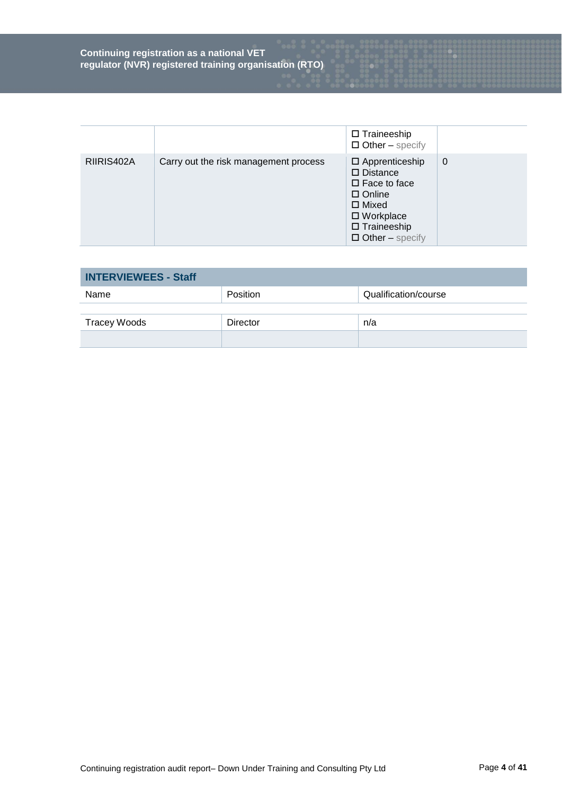|            |                                       | $\square$ Traineeship<br>$\Box$ Other – specify                                                                                                                               |   |
|------------|---------------------------------------|-------------------------------------------------------------------------------------------------------------------------------------------------------------------------------|---|
| RIIRIS402A | Carry out the risk management process | $\Box$ Apprenticeship<br>$\square$ Distance<br>$\square$ Face to face<br>$\Box$ Online<br>$\Box$ Mixed<br>$\square$ Workplace<br>$\Box$ Traineeship<br>$\Box$ Other – specify | 0 |

| <b>INTERVIEWEES - Staff</b> |                 |                      |
|-----------------------------|-----------------|----------------------|
| Name                        | Position        | Qualification/course |
|                             |                 |                      |
| Tracey Woods                | <b>Director</b> | n/a                  |
|                             |                 |                      |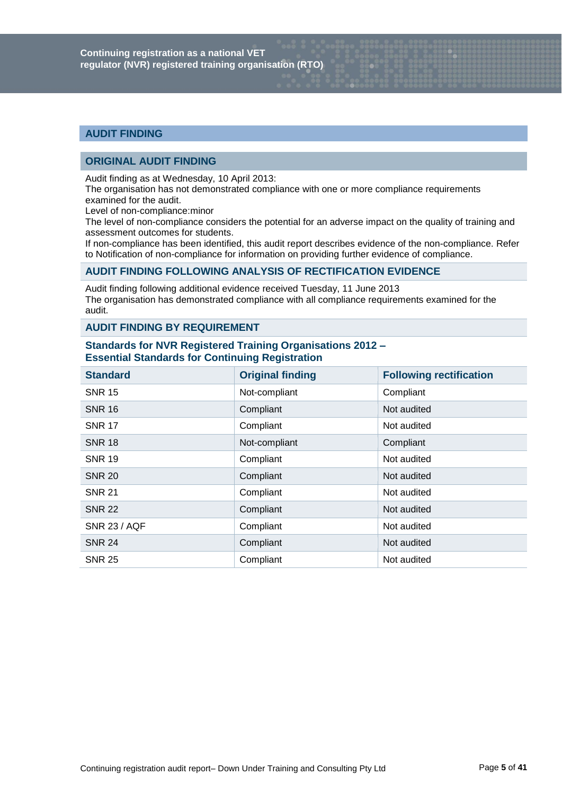# **AUDIT FINDING**

# **ORIGINAL AUDIT FINDING**

Audit finding as at Wednesday, 10 April 2013:

The organisation has not demonstrated compliance with one or more compliance requirements examined for the audit.

Level of non-compliance:minor

The level of non-compliance considers the potential for an adverse impact on the quality of training and assessment outcomes for students.

If non-compliance has been identified, this audit report describes evidence of the non-compliance. Refer to Notification of non-compliance for information on providing further evidence of compliance.

# **AUDIT FINDING FOLLOWING ANALYSIS OF RECTIFICATION EVIDENCE**

Audit finding following additional evidence received Tuesday, 11 June 2013 The organisation has demonstrated compliance with all compliance requirements examined for the audit.

# **AUDIT FINDING BY REQUIREMENT**

# **Standards for NVR Registered Training Organisations 2012 – Essential Standards for Continuing Registration**

| <b>Standard</b>     | <b>Original finding</b> | <b>Following rectification</b> |
|---------------------|-------------------------|--------------------------------|
| <b>SNR 15</b>       | Not-compliant           | Compliant                      |
| <b>SNR 16</b>       | Compliant               | Not audited                    |
| <b>SNR 17</b>       | Compliant               | Not audited                    |
| <b>SNR 18</b>       | Not-compliant           | Compliant                      |
| <b>SNR 19</b>       | Compliant               | Not audited                    |
| <b>SNR 20</b>       | Compliant               | Not audited                    |
| <b>SNR 21</b>       | Compliant               | Not audited                    |
| <b>SNR 22</b>       | Compliant               | Not audited                    |
| <b>SNR 23 / AQF</b> | Compliant               | Not audited                    |
| <b>SNR 24</b>       | Compliant               | Not audited                    |
| <b>SNR 25</b>       | Compliant               | Not audited                    |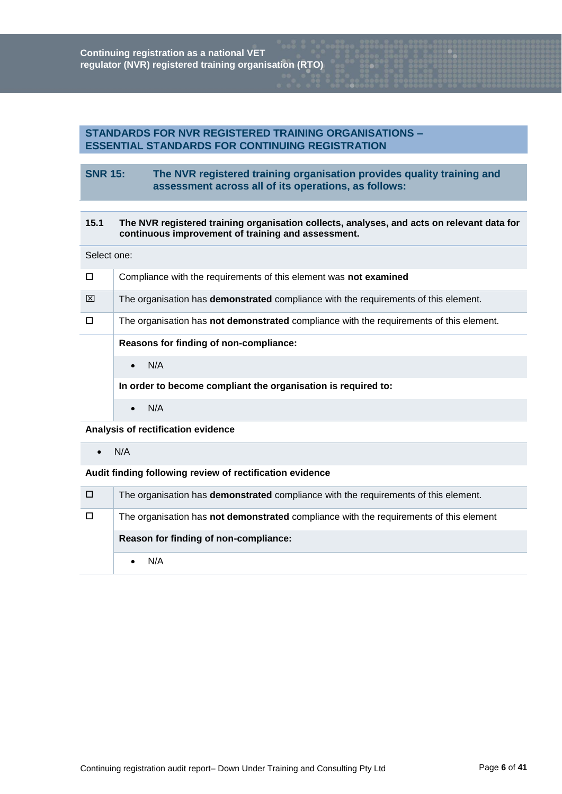# **STANDARDS FOR NVR REGISTERED TRAINING ORGANISATIONS – ESSENTIAL STANDARDS FOR CONTINUING REGISTRATION**

# **SNR 15: The NVR registered training organisation provides quality training and assessment across all of its operations, as follows:**

# **15.1 The NVR registered training organisation collects, analyses, and acts on relevant data for continuous improvement of training and assessment.**

#### Select one:

| $\Box$ | Compliance with the requirements of this element was not examined                          |
|--------|--------------------------------------------------------------------------------------------|
| ⊠      | The organisation has <b>demonstrated</b> compliance with the requirements of this element. |
| $\Box$ | The organisation has not demonstrated compliance with the requirements of this element.    |
|        | Reasons for finding of non-compliance:                                                     |
|        | N/A<br>$\bullet$                                                                           |
|        | In order to become compliant the organisation is required to:                              |
|        | N/A                                                                                        |

# **Analysis of rectification evidence**

## $\bullet$  N/A

| □ | The organisation has <b>demonstrated</b> compliance with the requirements of this element. |
|---|--------------------------------------------------------------------------------------------|
| □ | The organisation has not demonstrated compliance with the requirements of this element     |
|   | Reason for finding of non-compliance:                                                      |
|   | N/A                                                                                        |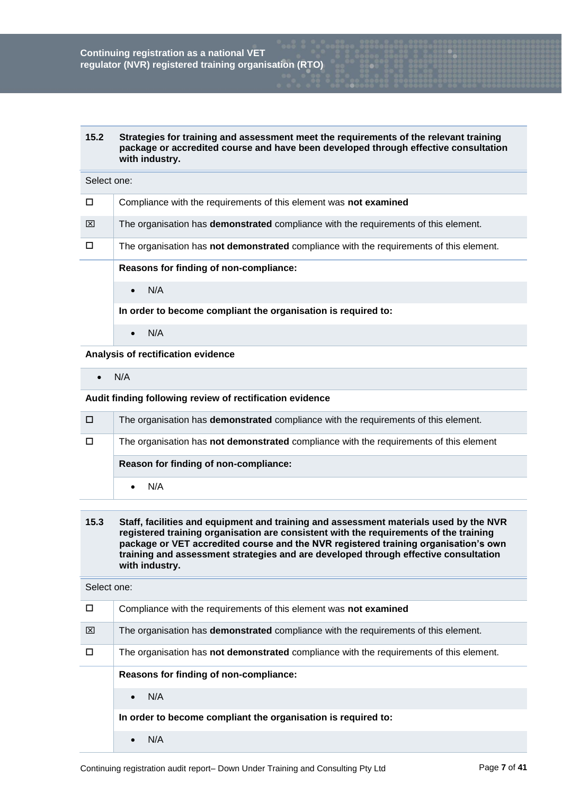| Strategies for training and assessment meet the requirements of the relevant training |
|---------------------------------------------------------------------------------------|
| package or accredited course and have been developed through effective consultation   |
| with industry.                                                                        |
|                                                                                       |

# Select one:

| $\Box$ | Compliance with the requirements of this element was not examined                          |
|--------|--------------------------------------------------------------------------------------------|
| ⊠      | The organisation has <b>demonstrated</b> compliance with the requirements of this element. |
| $\Box$ | The organisation has not demonstrated compliance with the requirements of this element.    |
|        | Reasons for finding of non-compliance:                                                     |
|        | N/A<br>$\bullet$                                                                           |
|        | In order to become compliant the organisation is required to:                              |
|        | N/A                                                                                        |

**Analysis of rectification evidence**

 $\bullet$  N/A

# **Audit finding following review of rectification evidence**

| □      | The organisation has <b>demonstrated</b> compliance with the requirements of this element. |
|--------|--------------------------------------------------------------------------------------------|
| $\Box$ | The organisation has not demonstrated compliance with the requirements of this element     |
|        |                                                                                            |
|        | Reason for finding of non-compliance:                                                      |

# **15.3 Staff, facilities and equipment and training and assessment materials used by the NVR registered training organisation are consistent with the requirements of the training package or VET accredited course and the NVR registered training organisation's own training and assessment strategies and are developed through effective consultation with industry.**

| п | Compliance with the requirements of this element was not examined                              |
|---|------------------------------------------------------------------------------------------------|
| ⊠ | The organisation has <b>demonstrated</b> compliance with the requirements of this element.     |
|   | The organisation has <b>not demonstrated</b> compliance with the requirements of this element. |
|   | Reasons for finding of non-compliance:                                                         |
|   | N/A<br>$\bullet$                                                                               |
|   | In order to become compliant the organisation is required to:                                  |
|   | N/A                                                                                            |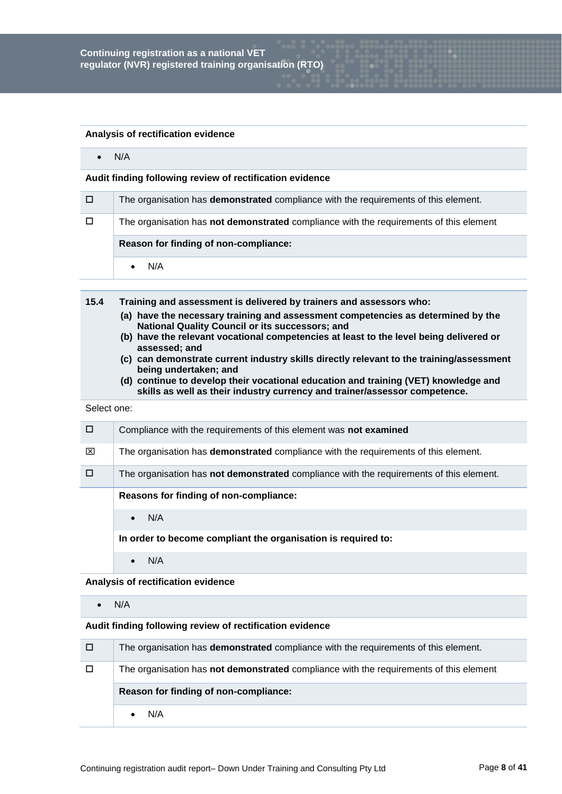#### **Analysis of rectification evidence**

 $\bullet$  N/A

## **Audit finding following review of rectification evidence**

| □      | The organisation has <b>demonstrated</b> compliance with the requirements of this element.    |
|--------|-----------------------------------------------------------------------------------------------|
| $\Box$ | The organisation has <b>not demonstrated</b> compliance with the requirements of this element |
|        | Reason for finding of non-compliance:                                                         |
|        | N/A                                                                                           |

- **15.4 Training and assessment is delivered by trainers and assessors who:**
	- **(a) have the necessary training and assessment competencies as determined by the National Quality Council or its successors; and**
	- **(b) have the relevant vocational competencies at least to the level being delivered or assessed; and**
	- **(c) can demonstrate current industry skills directly relevant to the training/assessment being undertaken; and**
	- **(d) continue to develop their vocational education and training (VET) knowledge and skills as well as their industry currency and trainer/assessor competence.**

## Select one:

| П | Compliance with the requirements of this element was not examined                              |
|---|------------------------------------------------------------------------------------------------|
| ⊠ | The organisation has <b>demonstrated</b> compliance with the requirements of this element.     |
|   | The organisation has <b>not demonstrated</b> compliance with the requirements of this element. |
|   | Reasons for finding of non-compliance:                                                         |
|   | N/A<br>$\bullet$                                                                               |
|   | In order to become compliant the organisation is required to:                                  |
|   | N/A                                                                                            |

**Analysis of rectification evidence**

 $\bullet$  N/A

| □ | The organisation has <b>demonstrated</b> compliance with the requirements of this element. |
|---|--------------------------------------------------------------------------------------------|
| □ | The organisation has not demonstrated compliance with the requirements of this element     |
|   | Reason for finding of non-compliance:                                                      |
|   | N/A                                                                                        |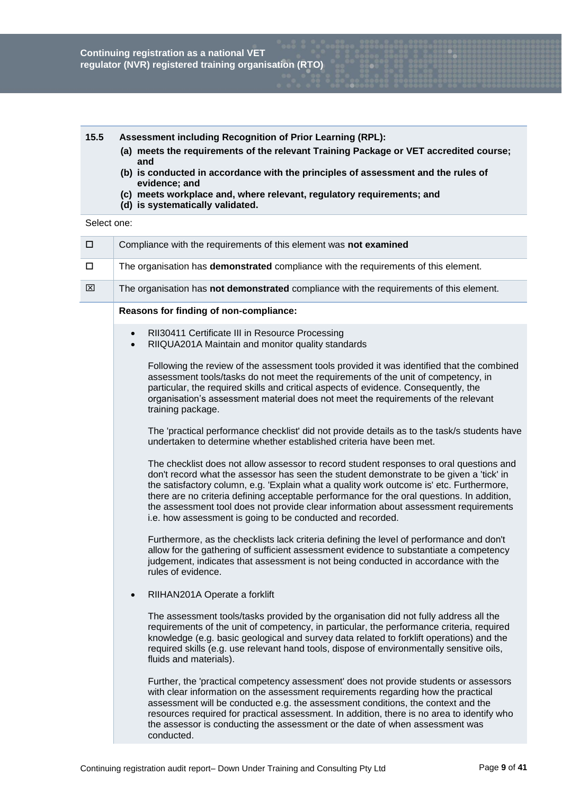# **15.5 Assessment including Recognition of Prior Learning (RPL):**

- **(a) meets the requirements of the relevant Training Package or VET accredited course; and**
- **(b) is conducted in accordance with the principles of assessment and the rules of evidence; and**
- **(c) meets workplace and, where relevant, regulatory requirements; and**
- **(d) is systematically validated.**

| $\Box$ | Compliance with the requirements of this element was not examined                                                                                                                                                                                                                                                                                                                                                                                                                                                                  |
|--------|------------------------------------------------------------------------------------------------------------------------------------------------------------------------------------------------------------------------------------------------------------------------------------------------------------------------------------------------------------------------------------------------------------------------------------------------------------------------------------------------------------------------------------|
| □      | The organisation has demonstrated compliance with the requirements of this element.                                                                                                                                                                                                                                                                                                                                                                                                                                                |
| ⊠      | The organisation has not demonstrated compliance with the requirements of this element.                                                                                                                                                                                                                                                                                                                                                                                                                                            |
|        | Reasons for finding of non-compliance:                                                                                                                                                                                                                                                                                                                                                                                                                                                                                             |
|        | RII30411 Certificate III in Resource Processing<br>$\bullet$<br>RIIQUA201A Maintain and monitor quality standards<br>$\bullet$                                                                                                                                                                                                                                                                                                                                                                                                     |
|        | Following the review of the assessment tools provided it was identified that the combined<br>assessment tools/tasks do not meet the requirements of the unit of competency, in<br>particular, the required skills and critical aspects of evidence. Consequently, the<br>organisation's assessment material does not meet the requirements of the relevant<br>training package.                                                                                                                                                    |
|        | The 'practical performance checklist' did not provide details as to the task/s students have<br>undertaken to determine whether established criteria have been met.                                                                                                                                                                                                                                                                                                                                                                |
|        | The checklist does not allow assessor to record student responses to oral questions and<br>don't record what the assessor has seen the student demonstrate to be given a 'tick' in<br>the satisfactory column, e.g. 'Explain what a quality work outcome is' etc. Furthermore,<br>there are no criteria defining acceptable performance for the oral questions. In addition,<br>the assessment tool does not provide clear information about assessment requirements<br>i.e. how assessment is going to be conducted and recorded. |
|        | Furthermore, as the checklists lack criteria defining the level of performance and don't<br>allow for the gathering of sufficient assessment evidence to substantiate a competency<br>judgement, indicates that assessment is not being conducted in accordance with the<br>rules of evidence.                                                                                                                                                                                                                                     |
|        | RIIHAN201A Operate a forklift<br>$\bullet$                                                                                                                                                                                                                                                                                                                                                                                                                                                                                         |
|        | The assessment tools/tasks provided by the organisation did not fully address all the<br>requirements of the unit of competency, in particular, the performance criteria, required<br>knowledge (e.g. basic geological and survey data related to forklift operations) and the<br>required skills (e.g. use relevant hand tools, dispose of environmentally sensitive oils,<br>fluids and materials).                                                                                                                              |
|        | Further, the 'practical competency assessment' does not provide students or assessors<br>with clear information on the assessment requirements regarding how the practical<br>assessment will be conducted e.g. the assessment conditions, the context and the<br>resources required for practical assessment. In addition, there is no area to identify who<br>the assessor is conducting the assessment or the date of when assessment was<br>conducted.                                                                         |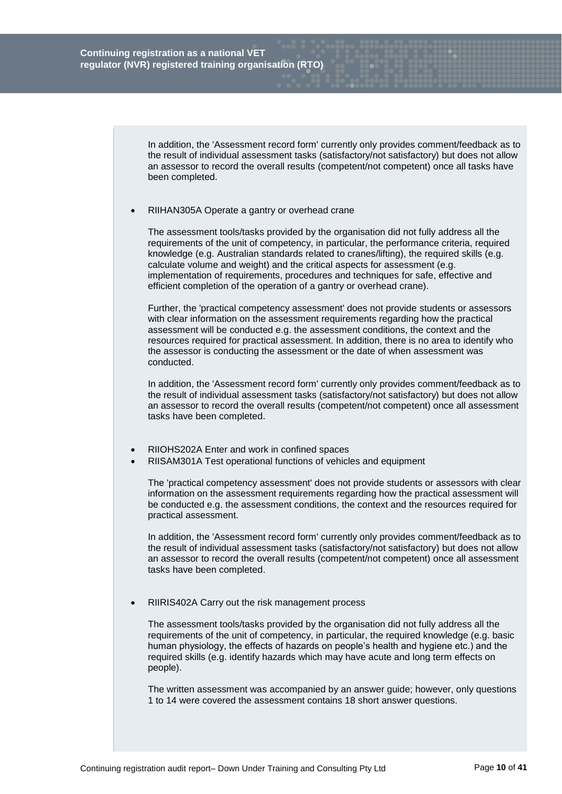In addition, the 'Assessment record form' currently only provides comment/feedback as to the result of individual assessment tasks (satisfactory/not satisfactory) but does not allow an assessor to record the overall results (competent/not competent) once all tasks have been completed.

RIIHAN305A Operate a gantry or overhead crane

The assessment tools/tasks provided by the organisation did not fully address all the requirements of the unit of competency, in particular, the performance criteria, required knowledge (e.g. Australian standards related to cranes/lifting), the required skills (e.g. calculate volume and weight) and the critical aspects for assessment (e.g. implementation of requirements, procedures and techniques for safe, effective and efficient completion of the operation of a gantry or overhead crane).

Further, the 'practical competency assessment' does not provide students or assessors with clear information on the assessment requirements regarding how the practical assessment will be conducted e.g. the assessment conditions, the context and the resources required for practical assessment. In addition, there is no area to identify who the assessor is conducting the assessment or the date of when assessment was conducted.

In addition, the 'Assessment record form' currently only provides comment/feedback as to the result of individual assessment tasks (satisfactory/not satisfactory) but does not allow an assessor to record the overall results (competent/not competent) once all assessment tasks have been completed.

- RIIOHS202A Enter and work in confined spaces
- RIISAM301A Test operational functions of vehicles and equipment

The 'practical competency assessment' does not provide students or assessors with clear information on the assessment requirements regarding how the practical assessment will be conducted e.g. the assessment conditions, the context and the resources required for practical assessment.

In addition, the 'Assessment record form' currently only provides comment/feedback as to the result of individual assessment tasks (satisfactory/not satisfactory) but does not allow an assessor to record the overall results (competent/not competent) once all assessment tasks have been completed.

RIIRIS402A Carry out the risk management process

The assessment tools/tasks provided by the organisation did not fully address all the requirements of the unit of competency, in particular, the required knowledge (e.g. basic human physiology, the effects of hazards on people's health and hygiene etc.) and the required skills (e.g. identify hazards which may have acute and long term effects on people).

The written assessment was accompanied by an answer guide; however, only questions 1 to 14 were covered the assessment contains 18 short answer questions.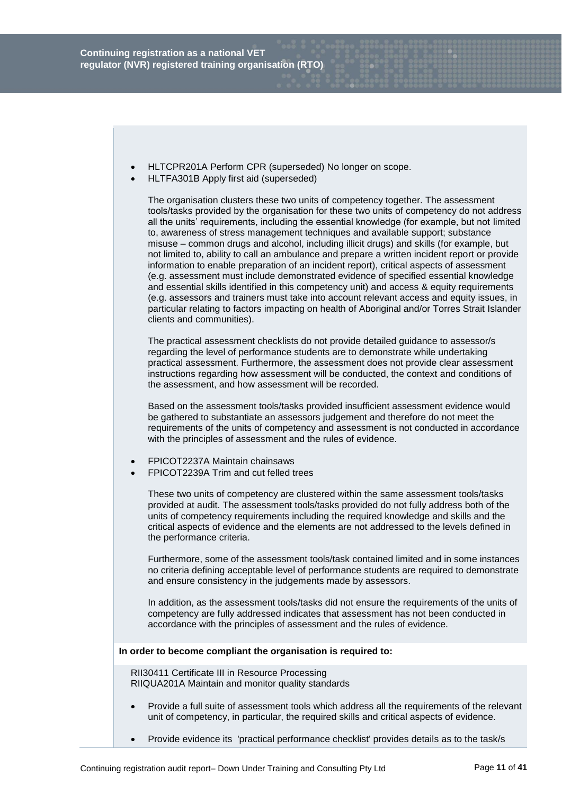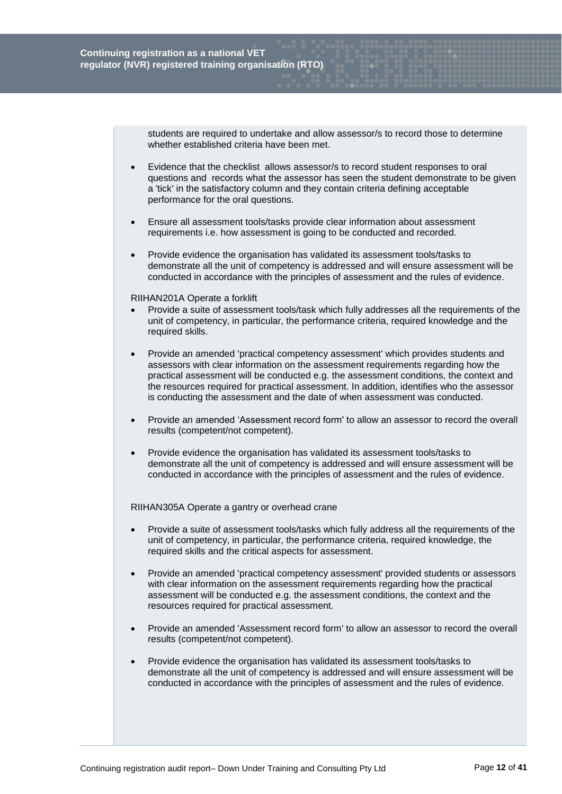students are required to undertake and allow assessor/s to record those to determine whether established criteria have been met.

- Evidence that the checklist allows assessor/s to record student responses to oral questions and records what the assessor has seen the student demonstrate to be given a 'tick' in the satisfactory column and they contain criteria defining acceptable performance for the oral questions.
- Ensure all assessment tools/tasks provide clear information about assessment requirements i.e. how assessment is going to be conducted and recorded.
- Provide evidence the organisation has validated its assessment tools/tasks to demonstrate all the unit of competency is addressed and will ensure assessment will be conducted in accordance with the principles of assessment and the rules of evidence.

#### RIIHAN201A Operate a forklift

- Provide a suite of assessment tools/task which fully addresses all the requirements of the unit of competency, in particular, the performance criteria, required knowledge and the required skills.
- Provide an amended 'practical competency assessment' which provides students and assessors with clear information on the assessment requirements regarding how the practical assessment will be conducted e.g. the assessment conditions, the context and the resources required for practical assessment. In addition, identifies who the assessor is conducting the assessment and the date of when assessment was conducted.
- Provide an amended 'Assessment record form' to allow an assessor to record the overall results (competent/not competent).
- Provide evidence the organisation has validated its assessment tools/tasks to demonstrate all the unit of competency is addressed and will ensure assessment will be conducted in accordance with the principles of assessment and the rules of evidence.

RIIHAN305A Operate a gantry or overhead crane

- Provide a suite of assessment tools/tasks which fully address all the requirements of the unit of competency, in particular, the performance criteria, required knowledge, the required skills and the critical aspects for assessment.
- Provide an amended 'practical competency assessment' provided students or assessors with clear information on the assessment requirements regarding how the practical assessment will be conducted e.g. the assessment conditions, the context and the resources required for practical assessment.
- Provide an amended 'Assessment record form' to allow an assessor to record the overall results (competent/not competent).
- Provide evidence the organisation has validated its assessment tools/tasks to demonstrate all the unit of competency is addressed and will ensure assessment will be conducted in accordance with the principles of assessment and the rules of evidence.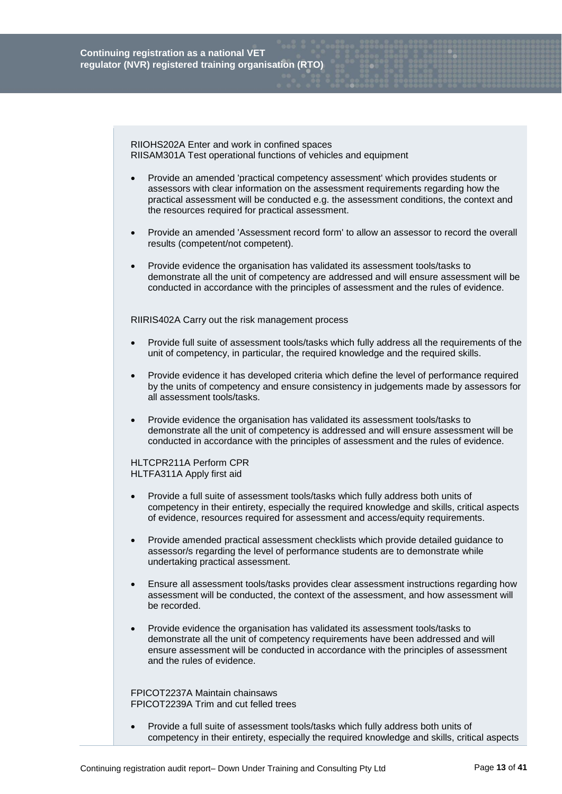RIIOHS202A Enter and work in confined spaces RIISAM301A Test operational functions of vehicles and equipment

- Provide an amended 'practical competency assessment' which provides students or assessors with clear information on the assessment requirements regarding how the practical assessment will be conducted e.g. the assessment conditions, the context and the resources required for practical assessment.
- Provide an amended 'Assessment record form' to allow an assessor to record the overall results (competent/not competent).
- Provide evidence the organisation has validated its assessment tools/tasks to demonstrate all the unit of competency are addressed and will ensure assessment will be conducted in accordance with the principles of assessment and the rules of evidence.

RIIRIS402A Carry out the risk management process

- Provide full suite of assessment tools/tasks which fully address all the requirements of the unit of competency, in particular, the required knowledge and the required skills.
- Provide evidence it has developed criteria which define the level of performance required by the units of competency and ensure consistency in judgements made by assessors for all assessment tools/tasks.
- Provide evidence the organisation has validated its assessment tools/tasks to demonstrate all the unit of competency is addressed and will ensure assessment will be conducted in accordance with the principles of assessment and the rules of evidence.

HLTCPR211A Perform CPR HLTFA311A Apply first aid

- Provide a full suite of assessment tools/tasks which fully address both units of competency in their entirety, especially the required knowledge and skills, critical aspects of evidence, resources required for assessment and access/equity requirements.
- Provide amended practical assessment checklists which provide detailed guidance to assessor/s regarding the level of performance students are to demonstrate while undertaking practical assessment.
- Ensure all assessment tools/tasks provides clear assessment instructions regarding how assessment will be conducted, the context of the assessment, and how assessment will be recorded.
- Provide evidence the organisation has validated its assessment tools/tasks to demonstrate all the unit of competency requirements have been addressed and will ensure assessment will be conducted in accordance with the principles of assessment and the rules of evidence.

FPICOT2237A Maintain chainsaws FPICOT2239A Trim and cut felled trees

 Provide a full suite of assessment tools/tasks which fully address both units of competency in their entirety, especially the required knowledge and skills, critical aspects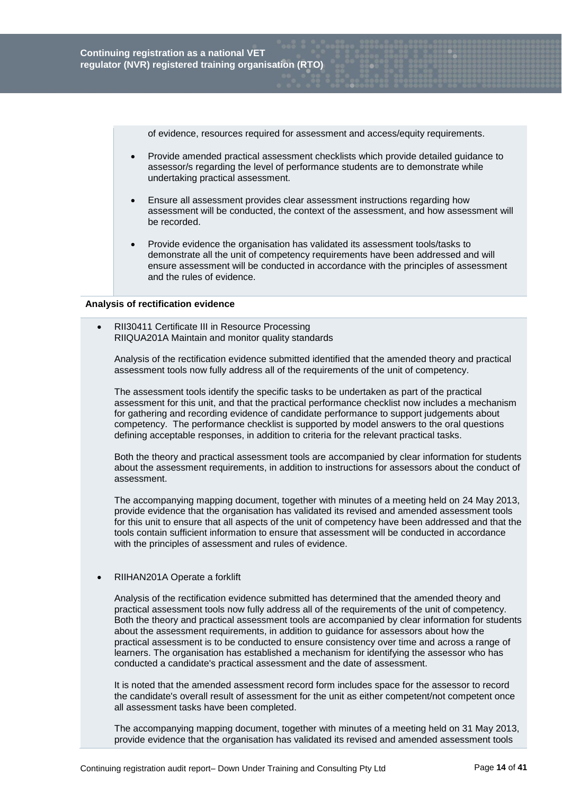of evidence, resources required for assessment and access/equity requirements.

- Provide amended practical assessment checklists which provide detailed guidance to assessor/s regarding the level of performance students are to demonstrate while undertaking practical assessment.
- Ensure all assessment provides clear assessment instructions regarding how assessment will be conducted, the context of the assessment, and how assessment will be recorded.
- Provide evidence the organisation has validated its assessment tools/tasks to demonstrate all the unit of competency requirements have been addressed and will ensure assessment will be conducted in accordance with the principles of assessment and the rules of evidence.

## **Analysis of rectification evidence**

 RII30411 Certificate III in Resource Processing RIIQUA201A Maintain and monitor quality standards

Analysis of the rectification evidence submitted identified that the amended theory and practical assessment tools now fully address all of the requirements of the unit of competency.

The assessment tools identify the specific tasks to be undertaken as part of the practical assessment for this unit, and that the practical performance checklist now includes a mechanism for gathering and recording evidence of candidate performance to support judgements about competency. The performance checklist is supported by model answers to the oral questions defining acceptable responses, in addition to criteria for the relevant practical tasks.

Both the theory and practical assessment tools are accompanied by clear information for students about the assessment requirements, in addition to instructions for assessors about the conduct of assessment.

The accompanying mapping document, together with minutes of a meeting held on 24 May 2013, provide evidence that the organisation has validated its revised and amended assessment tools for this unit to ensure that all aspects of the unit of competency have been addressed and that the tools contain sufficient information to ensure that assessment will be conducted in accordance with the principles of assessment and rules of evidence.

RIIHAN201A Operate a forklift

Analysis of the rectification evidence submitted has determined that the amended theory and practical assessment tools now fully address all of the requirements of the unit of competency. Both the theory and practical assessment tools are accompanied by clear information for students about the assessment requirements, in addition to guidance for assessors about how the practical assessment is to be conducted to ensure consistency over time and across a range of learners. The organisation has established a mechanism for identifying the assessor who has conducted a candidate's practical assessment and the date of assessment.

It is noted that the amended assessment record form includes space for the assessor to record the candidate's overall result of assessment for the unit as either competent/not competent once all assessment tasks have been completed.

The accompanying mapping document, together with minutes of a meeting held on 31 May 2013, provide evidence that the organisation has validated its revised and amended assessment tools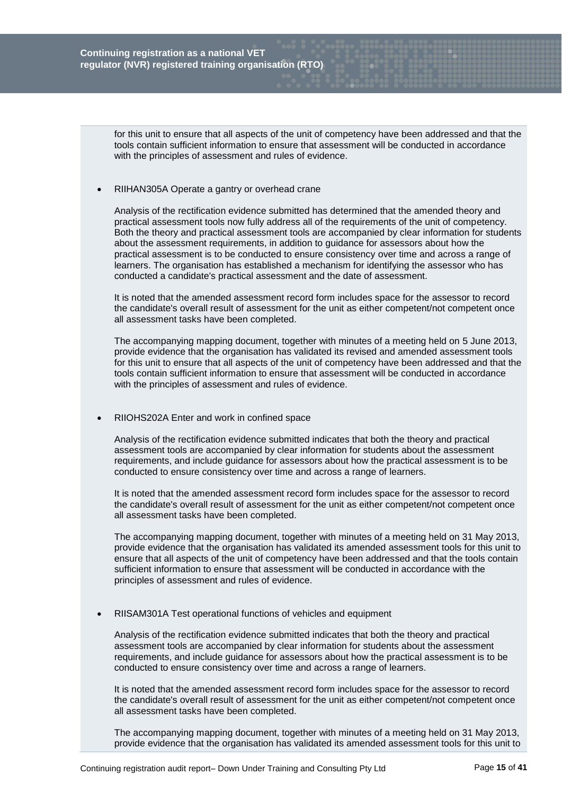for this unit to ensure that all aspects of the unit of competency have been addressed and that the tools contain sufficient information to ensure that assessment will be conducted in accordance with the principles of assessment and rules of evidence.

#### RIIHAN305A Operate a gantry or overhead crane

Analysis of the rectification evidence submitted has determined that the amended theory and practical assessment tools now fully address all of the requirements of the unit of competency. Both the theory and practical assessment tools are accompanied by clear information for students about the assessment requirements, in addition to guidance for assessors about how the practical assessment is to be conducted to ensure consistency over time and across a range of learners. The organisation has established a mechanism for identifying the assessor who has conducted a candidate's practical assessment and the date of assessment.

It is noted that the amended assessment record form includes space for the assessor to record the candidate's overall result of assessment for the unit as either competent/not competent once all assessment tasks have been completed.

The accompanying mapping document, together with minutes of a meeting held on 5 June 2013, provide evidence that the organisation has validated its revised and amended assessment tools for this unit to ensure that all aspects of the unit of competency have been addressed and that the tools contain sufficient information to ensure that assessment will be conducted in accordance with the principles of assessment and rules of evidence.

## RIIOHS202A Enter and work in confined space

Analysis of the rectification evidence submitted indicates that both the theory and practical assessment tools are accompanied by clear information for students about the assessment requirements, and include guidance for assessors about how the practical assessment is to be conducted to ensure consistency over time and across a range of learners.

It is noted that the amended assessment record form includes space for the assessor to record the candidate's overall result of assessment for the unit as either competent/not competent once all assessment tasks have been completed.

The accompanying mapping document, together with minutes of a meeting held on 31 May 2013, provide evidence that the organisation has validated its amended assessment tools for this unit to ensure that all aspects of the unit of competency have been addressed and that the tools contain sufficient information to ensure that assessment will be conducted in accordance with the principles of assessment and rules of evidence.

## RIISAM301A Test operational functions of vehicles and equipment

Analysis of the rectification evidence submitted indicates that both the theory and practical assessment tools are accompanied by clear information for students about the assessment requirements, and include guidance for assessors about how the practical assessment is to be conducted to ensure consistency over time and across a range of learners.

It is noted that the amended assessment record form includes space for the assessor to record the candidate's overall result of assessment for the unit as either competent/not competent once all assessment tasks have been completed.

The accompanying mapping document, together with minutes of a meeting held on 31 May 2013, provide evidence that the organisation has validated its amended assessment tools for this unit to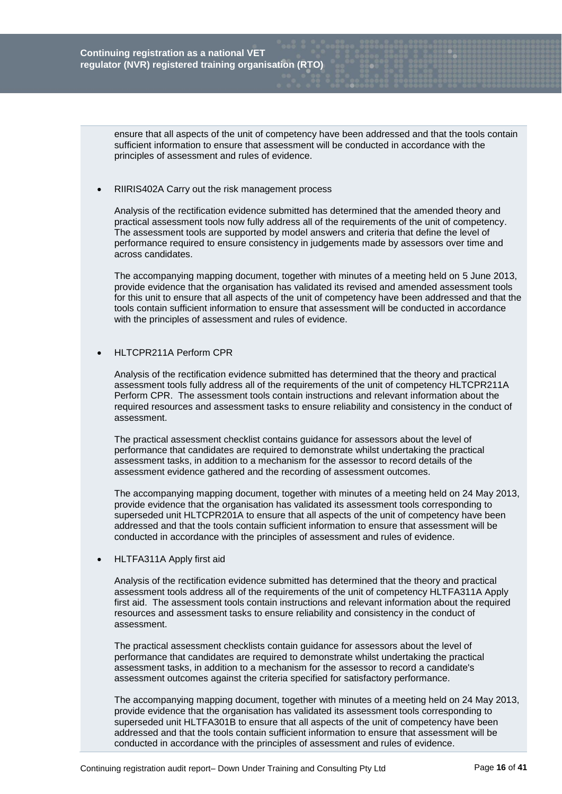ensure that all aspects of the unit of competency have been addressed and that the tools contain sufficient information to ensure that assessment will be conducted in accordance with the principles of assessment and rules of evidence.

#### RIIRIS402A Carry out the risk management process

Analysis of the rectification evidence submitted has determined that the amended theory and practical assessment tools now fully address all of the requirements of the unit of competency. The assessment tools are supported by model answers and criteria that define the level of performance required to ensure consistency in judgements made by assessors over time and across candidates.

The accompanying mapping document, together with minutes of a meeting held on 5 June 2013, provide evidence that the organisation has validated its revised and amended assessment tools for this unit to ensure that all aspects of the unit of competency have been addressed and that the tools contain sufficient information to ensure that assessment will be conducted in accordance with the principles of assessment and rules of evidence.

## HLTCPR211A Perform CPR

Analysis of the rectification evidence submitted has determined that the theory and practical assessment tools fully address all of the requirements of the unit of competency HLTCPR211A Perform CPR. The assessment tools contain instructions and relevant information about the required resources and assessment tasks to ensure reliability and consistency in the conduct of assessment.

The practical assessment checklist contains guidance for assessors about the level of performance that candidates are required to demonstrate whilst undertaking the practical assessment tasks, in addition to a mechanism for the assessor to record details of the assessment evidence gathered and the recording of assessment outcomes.

The accompanying mapping document, together with minutes of a meeting held on 24 May 2013, provide evidence that the organisation has validated its assessment tools corresponding to superseded unit HLTCPR201A to ensure that all aspects of the unit of competency have been addressed and that the tools contain sufficient information to ensure that assessment will be conducted in accordance with the principles of assessment and rules of evidence.

## HLTFA311A Apply first aid

Analysis of the rectification evidence submitted has determined that the theory and practical assessment tools address all of the requirements of the unit of competency HLTFA311A Apply first aid. The assessment tools contain instructions and relevant information about the required resources and assessment tasks to ensure reliability and consistency in the conduct of assessment.

The practical assessment checklists contain guidance for assessors about the level of performance that candidates are required to demonstrate whilst undertaking the practical assessment tasks, in addition to a mechanism for the assessor to record a candidate's assessment outcomes against the criteria specified for satisfactory performance.

The accompanying mapping document, together with minutes of a meeting held on 24 May 2013, provide evidence that the organisation has validated its assessment tools corresponding to superseded unit HLTFA301B to ensure that all aspects of the unit of competency have been addressed and that the tools contain sufficient information to ensure that assessment will be conducted in accordance with the principles of assessment and rules of evidence.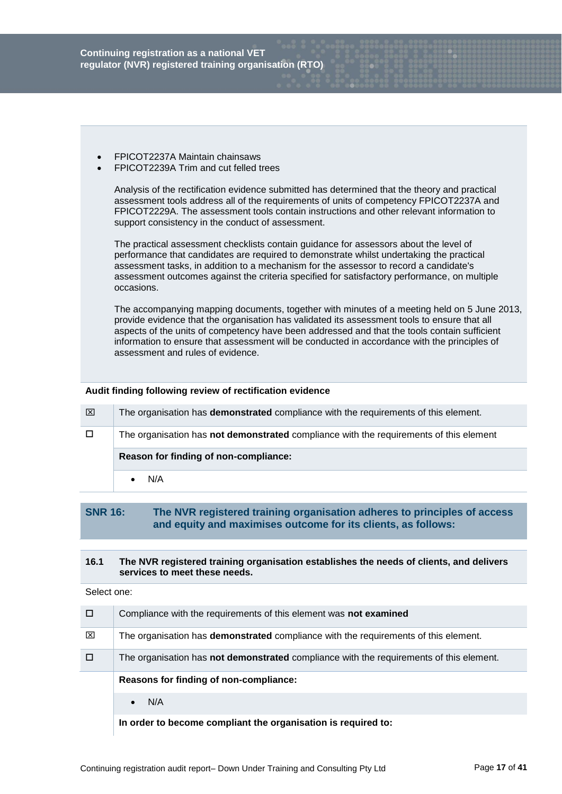**Continuing registration as a national VET regulator (NVR) registered training organisation (RTO)**

- FPICOT2237A Maintain chainsaws
- FPICOT2239A Trim and cut felled trees

Analysis of the rectification evidence submitted has determined that the theory and practical assessment tools address all of the requirements of units of competency FPICOT2237A and FPICOT2229A. The assessment tools contain instructions and other relevant information to support consistency in the conduct of assessment.

The practical assessment checklists contain guidance for assessors about the level of performance that candidates are required to demonstrate whilst undertaking the practical assessment tasks, in addition to a mechanism for the assessor to record a candidate's assessment outcomes against the criteria specified for satisfactory performance, on multiple occasions.

The accompanying mapping documents, together with minutes of a meeting held on 5 June 2013, provide evidence that the organisation has validated its assessment tools to ensure that all aspects of the units of competency have been addressed and that the tools contain sufficient information to ensure that assessment will be conducted in accordance with the principles of assessment and rules of evidence.

#### **Audit finding following review of rectification evidence**

| ⊠      | The organisation has <b>demonstrated</b> compliance with the requirements of this element. |
|--------|--------------------------------------------------------------------------------------------|
| $\Box$ | The organisation has not demonstrated compliance with the requirements of this element     |
|        |                                                                                            |
|        | Reason for finding of non-compliance:                                                      |

# **SNR 16: The NVR registered training organisation adheres to principles of access and equity and maximises outcome for its clients, as follows:**

#### **16.1 The NVR registered training organisation establishes the needs of clients, and delivers services to meet these needs.**

|   | Compliance with the requirements of this element was not examined                              |
|---|------------------------------------------------------------------------------------------------|
| ⊠ | The organisation has <b>demonstrated</b> compliance with the requirements of this element.     |
| □ | The organisation has <b>not demonstrated</b> compliance with the requirements of this element. |
|   |                                                                                                |
|   | Reasons for finding of non-compliance:                                                         |
|   | N/A                                                                                            |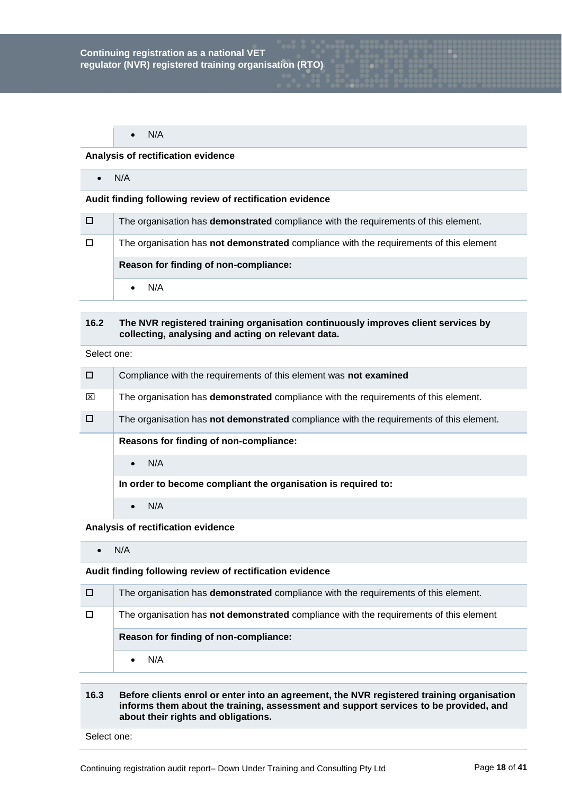$\bullet$  N/A

#### **Analysis of rectification evidence**

 $\bullet$  N/A

#### **Audit finding following review of rectification evidence**

| / O / | The organisation has <b>demonstrated</b> compliance with the requirements of this element. |
|-------|--------------------------------------------------------------------------------------------|
| □     | The organisation has not demonstrated compliance with the requirements of this element     |
|       |                                                                                            |
|       | Reason for finding of non-compliance:                                                      |

# **16.2 The NVR registered training organisation continuously improves client services by collecting, analysing and acting on relevant data.**

Select one:

| П | Compliance with the requirements of this element was not examined                              |
|---|------------------------------------------------------------------------------------------------|
| ⊠ | The organisation has <b>demonstrated</b> compliance with the requirements of this element.     |
|   | The organisation has <b>not demonstrated</b> compliance with the requirements of this element. |
|   | Reasons for finding of non-compliance:                                                         |
|   | N/A<br>$\bullet$                                                                               |
|   | In order to become compliant the organisation is required to:                                  |
|   | N/A<br>$\bullet$                                                                               |

**Analysis of rectification evidence**

 $\bullet$  N/A

**Audit finding following review of rectification evidence**

| □      | The organisation has <b>demonstrated</b> compliance with the requirements of this element.    |
|--------|-----------------------------------------------------------------------------------------------|
| $\Box$ | The organisation has <b>not demonstrated</b> compliance with the requirements of this element |
|        | Reason for finding of non-compliance:                                                         |
|        | N/A                                                                                           |

## **16.3 Before clients enrol or enter into an agreement, the NVR registered training organisation informs them about the training, assessment and support services to be provided, and about their rights and obligations.**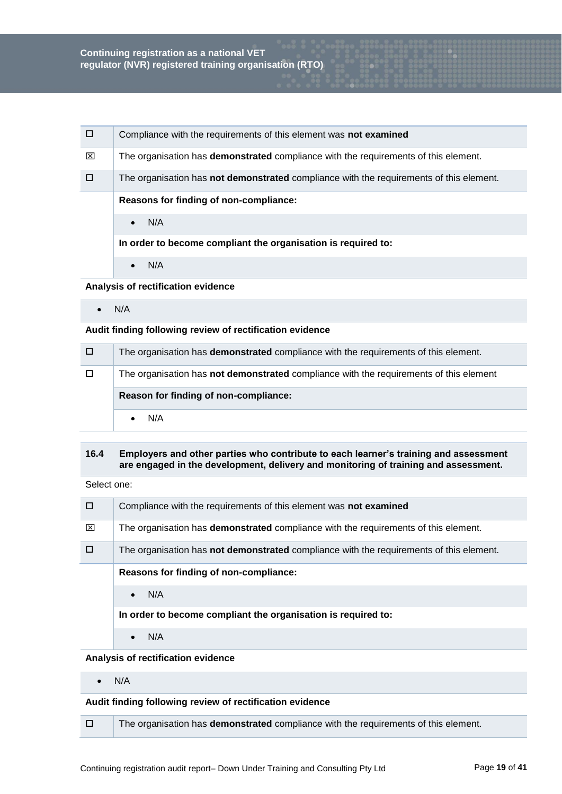|   | Compliance with the requirements of this element was not examined                          |
|---|--------------------------------------------------------------------------------------------|
| ⊠ | The organisation has <b>demonstrated</b> compliance with the requirements of this element. |
|   | The organisation has not demonstrated compliance with the requirements of this element.    |
|   | Reasons for finding of non-compliance:                                                     |
|   | N/A<br>$\bullet$                                                                           |
|   | In order to become compliant the organisation is required to:                              |
|   | N/A<br>$\bullet$                                                                           |

#### **Analysis of rectification evidence**

 $\bullet$  N/A

## **Audit finding following review of rectification evidence**

| 70 K | The organisation has <b>demonstrated</b> compliance with the requirements of this element.    |
|------|-----------------------------------------------------------------------------------------------|
| □    | The organisation has <b>not demonstrated</b> compliance with the requirements of this element |
|      | Reason for finding of non-compliance:                                                         |
|      | N/A                                                                                           |

# **16.4 Employers and other parties who contribute to each learner's training and assessment are engaged in the development, delivery and monitoring of training and assessment.**

Select one:

| П | Compliance with the requirements of this element was not examined                              |
|---|------------------------------------------------------------------------------------------------|
| ⊠ | The organisation has <b>demonstrated</b> compliance with the requirements of this element.     |
| п | The organisation has <b>not demonstrated</b> compliance with the requirements of this element. |
|   | Reasons for finding of non-compliance:                                                         |
|   | N/A<br>$\bullet$                                                                               |
|   | In order to become compliant the organisation is required to:                                  |
|   | N/A<br>$\bullet$                                                                               |

## **Analysis of rectification evidence**

 $\bullet$  N/A

# **Audit finding following review of rectification evidence**

The organisation has **demonstrated** compliance with the requirements of this element.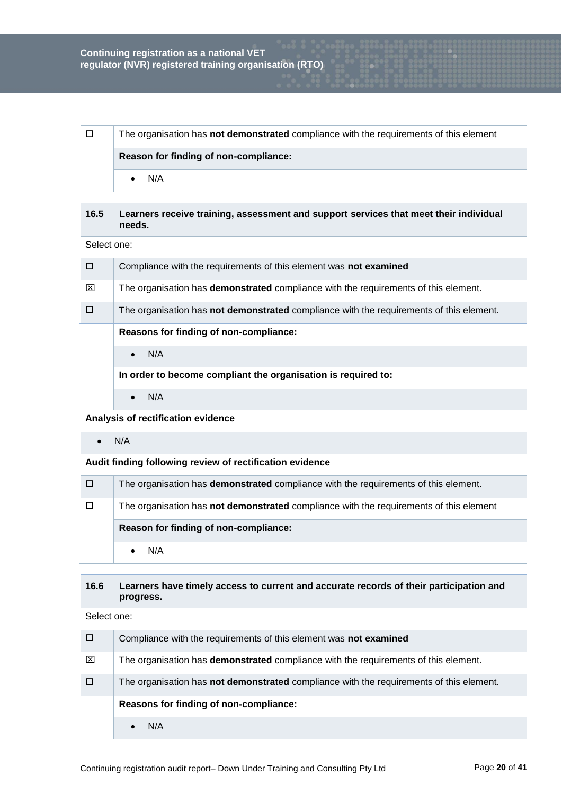|  | The organisation has not demonstrated compliance with the requirements of this element |
|--|----------------------------------------------------------------------------------------|
|  | Reason for finding of non-compliance:                                                  |
|  | N/A                                                                                    |

## **16.5 Learners receive training, assessment and support services that meet their individual needs.**

Select one:

| $\Box$ | Compliance with the requirements of this element was not examined                              |
|--------|------------------------------------------------------------------------------------------------|
| ⊠      | The organisation has <b>demonstrated</b> compliance with the requirements of this element.     |
| □      | The organisation has <b>not demonstrated</b> compliance with the requirements of this element. |
|        | Reasons for finding of non-compliance:                                                         |
|        | N/A<br>$\bullet$                                                                               |
|        | In order to become compliant the organisation is required to:                                  |
|        | N/A                                                                                            |

**Analysis of rectification evidence**

 $\bullet$  N/A

**Audit finding following review of rectification evidence**

| 0      | The organisation has <b>demonstrated</b> compliance with the requirements of this element. |
|--------|--------------------------------------------------------------------------------------------|
| $\Box$ | The organisation has not demonstrated compliance with the requirements of this element     |
|        | Reason for finding of non-compliance:                                                      |
|        | N/A                                                                                        |

# **16.6 Learners have timely access to current and accurate records of their participation and progress.**

| □ | Compliance with the requirements of this element was not examined                          |
|---|--------------------------------------------------------------------------------------------|
| ⊠ | The organisation has <b>demonstrated</b> compliance with the requirements of this element. |
| □ | The organisation has not demonstrated compliance with the requirements of this element.    |
|   | Reasons for finding of non-compliance:                                                     |
|   | N/A                                                                                        |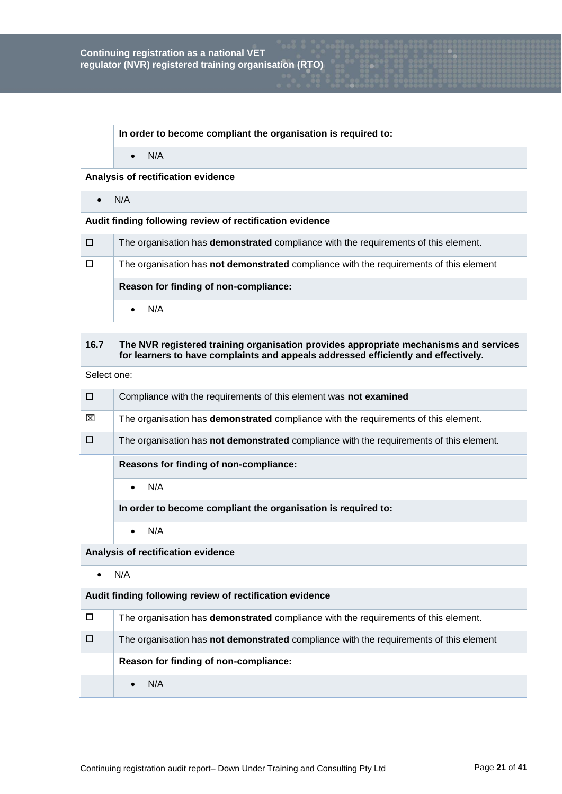**In order to become compliant the organisation is required to:**

 $\bullet$  N/A

#### **Analysis of rectification evidence**

 $\bullet$  N/A

## **Audit finding following review of rectification evidence**

| □ | The organisation has <b>demonstrated</b> compliance with the requirements of this element.    |
|---|-----------------------------------------------------------------------------------------------|
| □ | The organisation has <b>not demonstrated</b> compliance with the requirements of this element |
|   | Reason for finding of non-compliance:                                                         |
|   | N/A                                                                                           |

# **16.7 The NVR registered training organisation provides appropriate mechanisms and services for learners to have complaints and appeals addressed efficiently and effectively.**

Select one:

| $\Box$ | Compliance with the requirements of this element was not examined                       |
|--------|-----------------------------------------------------------------------------------------|
| ⊠      | The organisation has demonstrated compliance with the requirements of this element.     |
| $\Box$ | The organisation has not demonstrated compliance with the requirements of this element. |

# **Reasons for finding of non-compliance:**

 $\bullet$  N/A

**In order to become compliant the organisation is required to:**

 $\bullet$  N/A

# **Analysis of rectification evidence**

 $\bullet$  N/A

| The organisation has <b>demonstrated</b> compliance with the requirements of this element. |
|--------------------------------------------------------------------------------------------|
| The organisation has not demonstrated compliance with the requirements of this element     |
| Reason for finding of non-compliance:                                                      |
| N/A                                                                                        |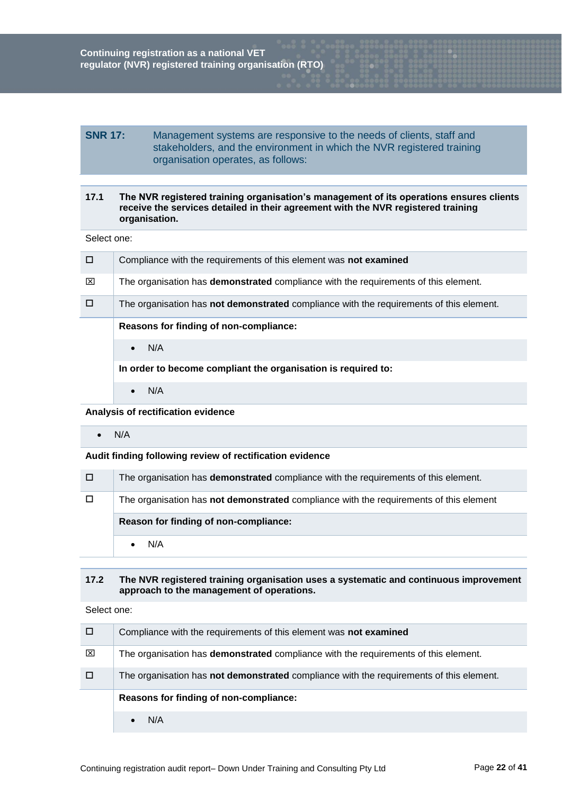# **SNR 17:** Management systems are responsive to the needs of clients, staff and stakeholders, and the environment in which the NVR registered training organisation operates, as follows:

# **17.1 The NVR registered training organisation's management of its operations ensures clients receive the services detailed in their agreement with the NVR registered training organisation.**

Select one:

| $\Box$ | Compliance with the requirements of this element was not examined                              |
|--------|------------------------------------------------------------------------------------------------|
| ⊠      | The organisation has <b>demonstrated</b> compliance with the requirements of this element.     |
| $\Box$ | The organisation has <b>not demonstrated</b> compliance with the requirements of this element. |
|        | Reasons for finding of non-compliance:                                                         |
|        | N/A<br>$\bullet$                                                                               |
|        | In order to become compliant the organisation is required to:                                  |

 $\bullet$  N/A

**Analysis of rectification evidence**

 $\bullet$  N/A

## **Audit finding following review of rectification evidence**

| / O /  | The organisation has <b>demonstrated</b> compliance with the requirements of this element. |
|--------|--------------------------------------------------------------------------------------------|
| $\Box$ | The organisation has not demonstrated compliance with the requirements of this element     |
|        | Reason for finding of non-compliance:                                                      |
|        | N/A                                                                                        |

# **17.2 The NVR registered training organisation uses a systematic and continuous improvement approach to the management of operations.**

|   | Compliance with the requirements of this element was not examined                          |
|---|--------------------------------------------------------------------------------------------|
| ⊠ | The organisation has <b>demonstrated</b> compliance with the requirements of this element. |
|   | The organisation has not demonstrated compliance with the requirements of this element.    |
|   | Reasons for finding of non-compliance:                                                     |
|   | N/A                                                                                        |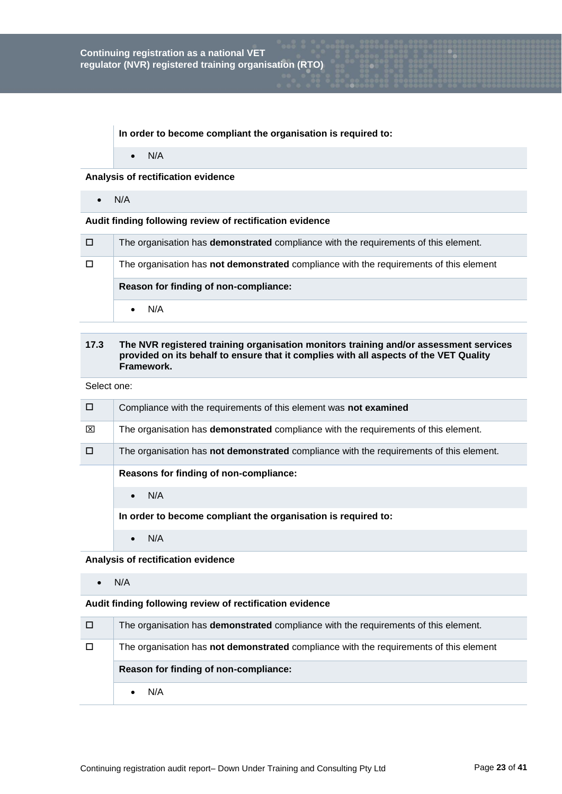**In order to become compliant the organisation is required to:**

 $\bullet$  N/A

## **Analysis of rectification evidence**

 $\bullet$  N/A

## **Audit finding following review of rectification evidence**

| □      | The organisation has <b>demonstrated</b> compliance with the requirements of this element. |
|--------|--------------------------------------------------------------------------------------------|
| $\Box$ | The organisation has not demonstrated compliance with the requirements of this element     |
|        |                                                                                            |
|        | Reason for finding of non-compliance:                                                      |

# **17.3 The NVR registered training organisation monitors training and/or assessment services provided on its behalf to ensure that it complies with all aspects of the VET Quality Framework.**

Select one:

| $\Box$ | Compliance with the requirements of this element was not examined                              |
|--------|------------------------------------------------------------------------------------------------|
| ⊠      | The organisation has <b>demonstrated</b> compliance with the requirements of this element.     |
| □      | The organisation has <b>not demonstrated</b> compliance with the requirements of this element. |
|        | Reasons for finding of non-compliance:                                                         |
|        | N/A<br>$\bullet$                                                                               |
|        | In order to become compliant the organisation is required to:                                  |

 $\bullet$  N/A

**Analysis of rectification evidence**

 $\bullet$  N/A

| □      | The organisation has <b>demonstrated</b> compliance with the requirements of this element. |
|--------|--------------------------------------------------------------------------------------------|
| $\Box$ | The organisation has not demonstrated compliance with the requirements of this element     |
|        |                                                                                            |
|        | Reason for finding of non-compliance:                                                      |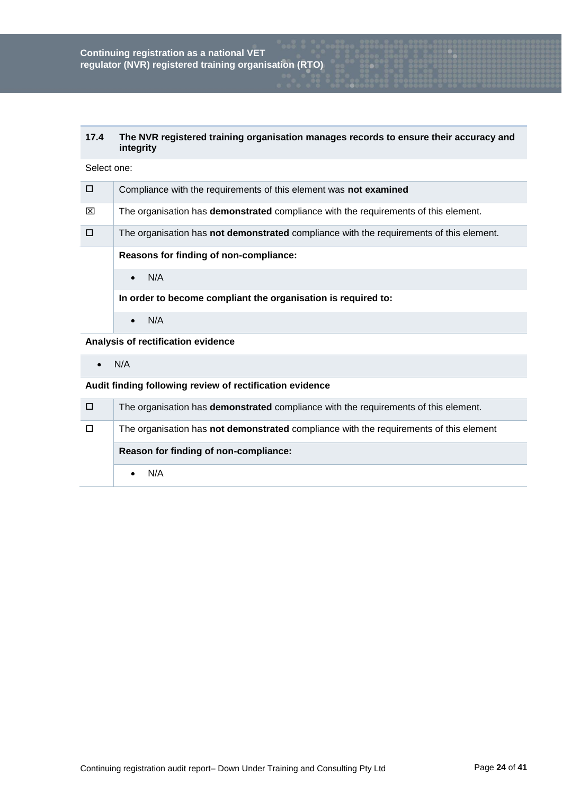# **17.4 The NVR registered training organisation manages records to ensure their accuracy and integrity**

| Select one: |  |
|-------------|--|
|-------------|--|

| $\Box$ | Compliance with the requirements of this element was not examined                              |
|--------|------------------------------------------------------------------------------------------------|
| ⊠      | The organisation has <b>demonstrated</b> compliance with the requirements of this element.     |
| $\Box$ | The organisation has <b>not demonstrated</b> compliance with the requirements of this element. |
|        | Reasons for finding of non-compliance:                                                         |
|        | N/A                                                                                            |
|        | In order to become compliant the organisation is required to:                                  |
|        | N/A                                                                                            |

# **Analysis of rectification evidence**

 $\bullet$  N/A

| □ | The organisation has <b>demonstrated</b> compliance with the requirements of this element. |
|---|--------------------------------------------------------------------------------------------|
| □ | The organisation has not demonstrated compliance with the requirements of this element     |
|   | Reason for finding of non-compliance:                                                      |
|   |                                                                                            |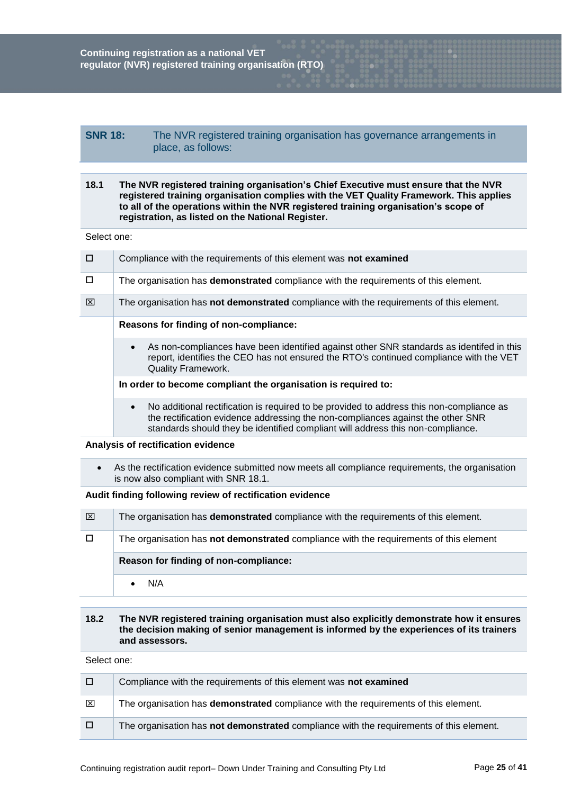# **SNR 18:** The NVR registered training organisation has governance arrangements in place, as follows:

# **18.1 The NVR registered training organisation's Chief Executive must ensure that the NVR registered training organisation complies with the VET Quality Framework. This applies to all of the operations within the NVR registered training organisation's scope of registration, as listed on the National Register.**

Select one:

| $\Box$ | Compliance with the requirements of this element was not examined                                                                                                                                                                                                           |
|--------|-----------------------------------------------------------------------------------------------------------------------------------------------------------------------------------------------------------------------------------------------------------------------------|
| П      | The organisation has <b>demonstrated</b> compliance with the requirements of this element.                                                                                                                                                                                  |
| ⊠      | The organisation has not demonstrated compliance with the requirements of this element.                                                                                                                                                                                     |
|        | Reasons for finding of non-compliance:                                                                                                                                                                                                                                      |
|        | As non-compliances have been identified against other SNR standards as identifed in this<br>$\bullet$<br>report, identifies the CEO has not ensured the RTO's continued compliance with the VET<br><b>Quality Framework.</b>                                                |
|        | In order to become compliant the organisation is required to:                                                                                                                                                                                                               |
|        | No additional rectification is required to be provided to address this non-compliance as<br>$\bullet$<br>the rectification evidence addressing the non-compliances against the other SNR<br>standards should they be identified compliant will address this non-compliance. |

## **Analysis of rectification evidence**

 As the rectification evidence submitted now meets all compliance requirements, the organisation is now also compliant with SNR 18.1.

# **Audit finding following review of rectification evidence**

| ⊠      | The organisation has <b>demonstrated</b> compliance with the requirements of this element.    |
|--------|-----------------------------------------------------------------------------------------------|
| $\Box$ | The organisation has <b>not demonstrated</b> compliance with the requirements of this element |
|        | Reason for finding of non-compliance:                                                         |
|        | N/A                                                                                           |

# **18.2 The NVR registered training organisation must also explicitly demonstrate how it ensures the decision making of senior management is informed by the experiences of its trainers and assessors.**

| □     | Compliance with the requirements of this element was not examined                              |
|-------|------------------------------------------------------------------------------------------------|
| ⊠     | The organisation has <b>demonstrated</b> compliance with the requirements of this element.     |
| / O / | The organisation has <b>not demonstrated</b> compliance with the requirements of this element. |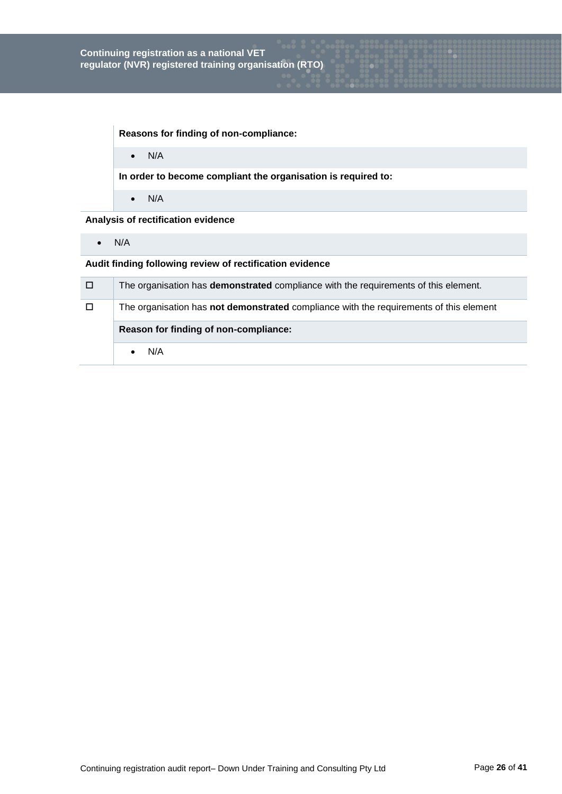**Reasons for finding of non-compliance:**

 $\bullet$  N/A

**In order to become compliant the organisation is required to:**

 $\bullet$  N/A

**Analysis of rectification evidence**

 $\bullet$  N/A

| 70 Z   | The organisation has <b>demonstrated</b> compliance with the requirements of this element.    |
|--------|-----------------------------------------------------------------------------------------------|
| $\Box$ | The organisation has <b>not demonstrated</b> compliance with the requirements of this element |
|        | Reason for finding of non-compliance:                                                         |
|        | N/A                                                                                           |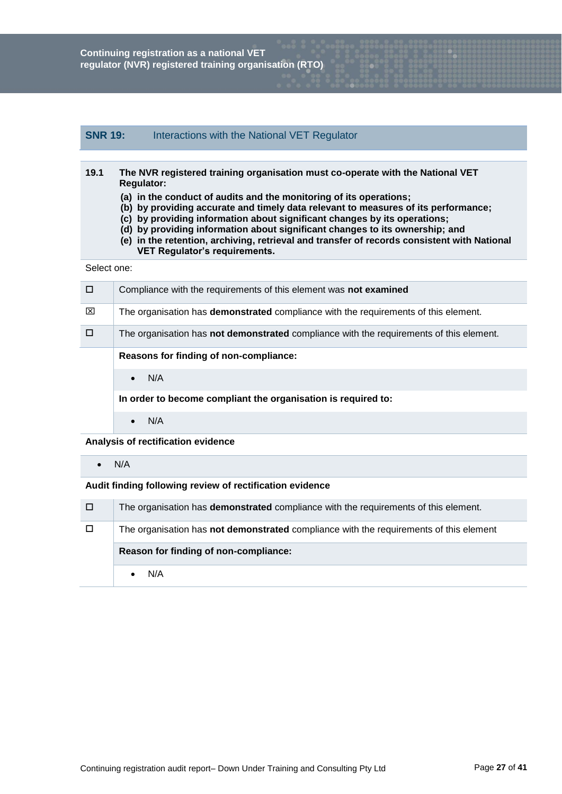# **SNR 19:** Interactions with the National VET Regulator

| 19.1 | The NVR registered training organisation must co-operate with the National VET     |
|------|------------------------------------------------------------------------------------|
|      | <b>Regulator:</b>                                                                  |
|      | (a) in the conduct of audits and the monitoring of its operations;                 |
|      | (b) by providing accurate and timely data relevant to measures of its performance; |
|      | (a) by providing information about significant changes by its operations:          |

- **(c) by providing information about significant changes by its operations;**
- **(d) by providing information about significant changes to its ownership; and**
- **(e) in the retention, archiving, retrieval and transfer of records consistent with National VET Regulator's requirements.**

Select one:

| □ | Compliance with the requirements of this element was not examined                              |
|---|------------------------------------------------------------------------------------------------|
| ⊠ | The organisation has <b>demonstrated</b> compliance with the requirements of this element.     |
| П | The organisation has <b>not demonstrated</b> compliance with the requirements of this element. |
|   | Reasons for finding of non-compliance:                                                         |
|   | N/A<br>$\bullet$                                                                               |
|   | In order to become compliant the organisation is required to:                                  |
|   | N/A<br>$\bullet$                                                                               |

**Analysis of rectification evidence**

 $\bullet$  N/A

| □      | The organisation has <b>demonstrated</b> compliance with the requirements of this element. |
|--------|--------------------------------------------------------------------------------------------|
| $\Box$ | The organisation has not demonstrated compliance with the requirements of this element     |
|        |                                                                                            |
|        | Reason for finding of non-compliance:                                                      |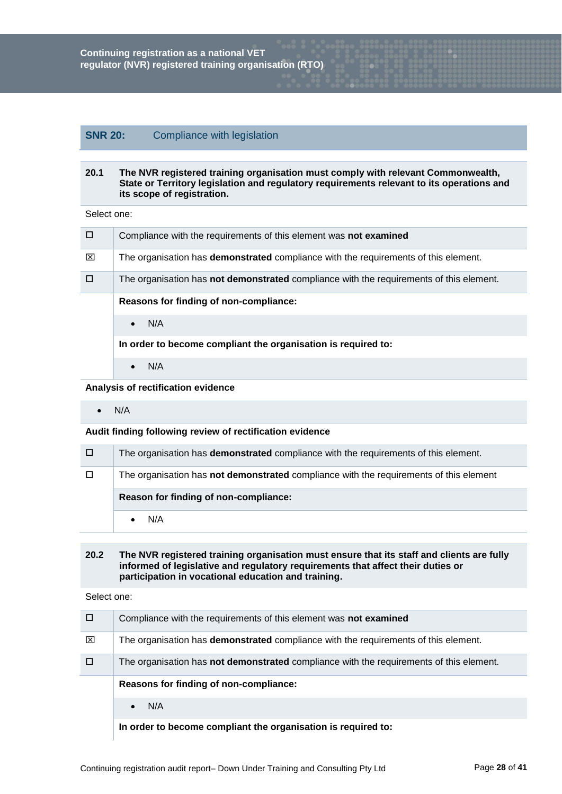# **SNR 20:** Compliance with legislation

## **20.1 The NVR registered training organisation must comply with relevant Commonwealth, State or Territory legislation and regulatory requirements relevant to its operations and its scope of registration.**

Select one:

| $\Box$ | Compliance with the requirements of this element was not examined                       |
|--------|-----------------------------------------------------------------------------------------|
| ⊠      | The organisation has demonstrated compliance with the requirements of this element.     |
|        | The organisation has not demonstrated compliance with the requirements of this element. |
|        | Reasons for finding of non-compliance:                                                  |
|        | N/A<br>$\bullet$                                                                        |
|        | In order to become compliant the organisation is required to:                           |
|        | N/A<br>$\bullet$                                                                        |

## **Analysis of rectification evidence**

 $\bullet$  N/A

## **Audit finding following review of rectification evidence**

| □ | The organisation has <b>demonstrated</b> compliance with the requirements of this element. |
|---|--------------------------------------------------------------------------------------------|
|   | The organisation has not demonstrated compliance with the requirements of this element     |
|   |                                                                                            |
|   | Reason for finding of non-compliance:                                                      |

# **20.2 The NVR registered training organisation must ensure that its staff and clients are fully informed of legislative and regulatory requirements that affect their duties or participation in vocational education and training.**

| □ | Compliance with the requirements of this element was not examined                          |
|---|--------------------------------------------------------------------------------------------|
| ⊠ | The organisation has <b>demonstrated</b> compliance with the requirements of this element. |
|   | The organisation has not demonstrated compliance with the requirements of this element.    |
|   |                                                                                            |
|   | Reasons for finding of non-compliance:                                                     |
|   | N/A<br>$\bullet$                                                                           |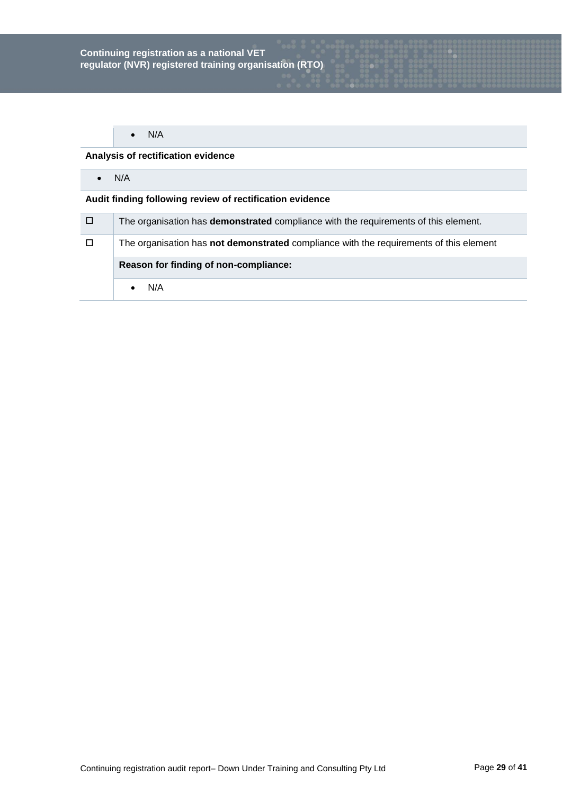# **Analysis of rectification evidence**

 $\bullet$  N/A

| $\Box$ | The organisation has <b>demonstrated</b> compliance with the requirements of this element. |
|--------|--------------------------------------------------------------------------------------------|
| $\Box$ | The organisation has not demonstrated compliance with the requirements of this element     |
|        |                                                                                            |
|        | Reason for finding of non-compliance:                                                      |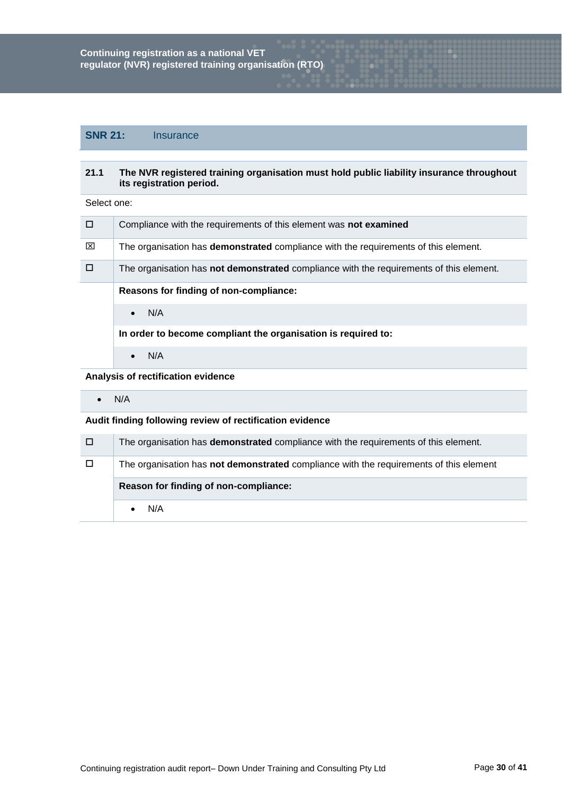# **SNR 21:** Insurance

## **21.1 The NVR registered training organisation must hold public liability insurance throughout its registration period.**

Select one:

| $\Box$ | Compliance with the requirements of this element was not examined                              |
|--------|------------------------------------------------------------------------------------------------|
| ⊠      | The organisation has <b>demonstrated</b> compliance with the requirements of this element.     |
| $\Box$ | The organisation has <b>not demonstrated</b> compliance with the requirements of this element. |
|        | Reasons for finding of non-compliance:                                                         |
|        | N/A<br>$\bullet$                                                                               |
|        | In order to become compliant the organisation is required to:                                  |
|        | N/A<br>$\bullet$                                                                               |
|        |                                                                                                |

**Analysis of rectification evidence**

 $\bullet$  N/A

| 70 K   | The organisation has <b>demonstrated</b> compliance with the requirements of this element. |
|--------|--------------------------------------------------------------------------------------------|
| $\Box$ | The organisation has not demonstrated compliance with the requirements of this element     |
|        | Reason for finding of non-compliance:                                                      |
|        |                                                                                            |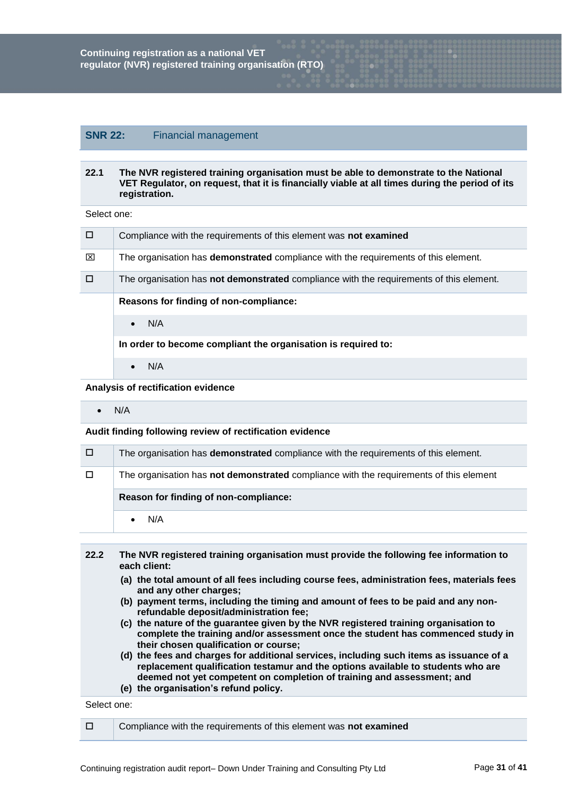# **SNR 22:** Financial management

## **22.1 The NVR registered training organisation must be able to demonstrate to the National VET Regulator, on request, that it is financially viable at all times during the period of its registration.**

Select one:

| п | Compliance with the requirements of this element was not examined                          |
|---|--------------------------------------------------------------------------------------------|
| ⊠ | The organisation has <b>demonstrated</b> compliance with the requirements of this element. |
| □ | The organisation has not demonstrated compliance with the requirements of this element.    |
|   | Reasons for finding of non-compliance:                                                     |
|   | N/A<br>$\bullet$                                                                           |
|   | In order to become compliant the organisation is required to:                              |
|   | N/A<br>$\bullet$                                                                           |

**Analysis of rectification evidence**

 $\bullet$  N/A

**Audit finding following review of rectification evidence**

| □ | The organisation has <b>demonstrated</b> compliance with the requirements of this element. |
|---|--------------------------------------------------------------------------------------------|
|   | The organisation has not demonstrated compliance with the requirements of this element     |
|   |                                                                                            |
|   | Reason for finding of non-compliance:                                                      |

| 22.2 | The NVR registered training organisation must provide the following fee information to<br>each client:                                                                                                                                                |
|------|-------------------------------------------------------------------------------------------------------------------------------------------------------------------------------------------------------------------------------------------------------|
|      | (a) the total amount of all fees including course fees, administration fees, materials fees<br>and any other charges;                                                                                                                                 |
|      | (b) payment terms, including the timing and amount of fees to be paid and any non-<br>refundable deposit/administration fee;                                                                                                                          |
|      | (c) the nature of the guarantee given by the NVR registered training organisation to<br>complete the training and/or assessment once the student has commenced study in<br>their chosen qualification or course;                                      |
|      | (d) the fees and charges for additional services, including such items as issuance of a<br>replacement qualification testamur and the options available to students who are<br>deemed not yet competent on completion of training and assessment; and |
|      | (e) the organisation's refund policy.                                                                                                                                                                                                                 |

| □ | Compliance with the requirements of this element was not examined |
|---|-------------------------------------------------------------------|
|   |                                                                   |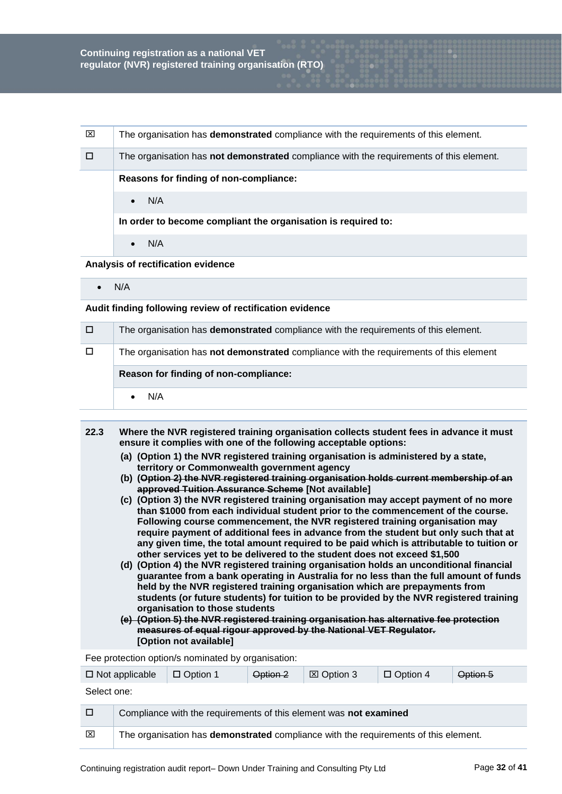| ⊠ | The organisation has <b>demonstrated</b> compliance with the requirements of this element. |
|---|--------------------------------------------------------------------------------------------|
| П | The organisation has not demonstrated compliance with the requirements of this element.    |
|   | Reasons for finding of non-compliance:                                                     |
|   | N/A<br>$\bullet$                                                                           |
|   | In order to become compliant the organisation is required to:                              |
|   | N/A                                                                                        |

**Analysis of rectification evidence**

 $\bullet$  N/A

**Audit finding following review of rectification evidence**

| o      | The organisation has <b>demonstrated</b> compliance with the requirements of this element.    |
|--------|-----------------------------------------------------------------------------------------------|
| $\Box$ | The organisation has <b>not demonstrated</b> compliance with the requirements of this element |
|        | Reason for finding of non-compliance:                                                         |
|        |                                                                                               |

- **22.3 Where the NVR registered training organisation collects student fees in advance it must ensure it complies with one of the following acceptable options:**
	- **(a) (Option 1) the NVR registered training organisation is administered by a state, territory or Commonwealth government agency**
	- **(b) (Option 2) the NVR registered training organisation holds current membership of an approved Tuition Assurance Scheme [Not available]**
	- **(c) (Option 3) the NVR registered training organisation may accept payment of no more than \$1000 from each individual student prior to the commencement of the course. Following course commencement, the NVR registered training organisation may require payment of additional fees in advance from the student but only such that at any given time, the total amount required to be paid which is attributable to tuition or other services yet to be delivered to the student does not exceed \$1,500**
	- **(d) (Option 4) the NVR registered training organisation holds an unconditional financial guarantee from a bank operating in Australia for no less than the full amount of funds held by the NVR registered training organisation which are prepayments from students (or future students) for tuition to be provided by the NVR registered training organisation to those students**
	- **(e) (Option 5) the NVR registered training organisation has alternative fee protection measures of equal rigour approved by the National VET Regulator. [Option not available]**

Fee protection option/s nominated by organisation:

| $\Box$ Not applicable |                                                                   | $\Box$ Option 1                                                                     | Option 2 | ⊠ Option 3 | $\Box$ Option 4 | Option 5 |
|-----------------------|-------------------------------------------------------------------|-------------------------------------------------------------------------------------|----------|------------|-----------------|----------|
| Select one:           |                                                                   |                                                                                     |          |            |                 |          |
| $\Box$                | Compliance with the requirements of this element was not examined |                                                                                     |          |            |                 |          |
| $\boxtimes$           |                                                                   | The organisation has demonstrated compliance with the requirements of this element. |          |            |                 |          |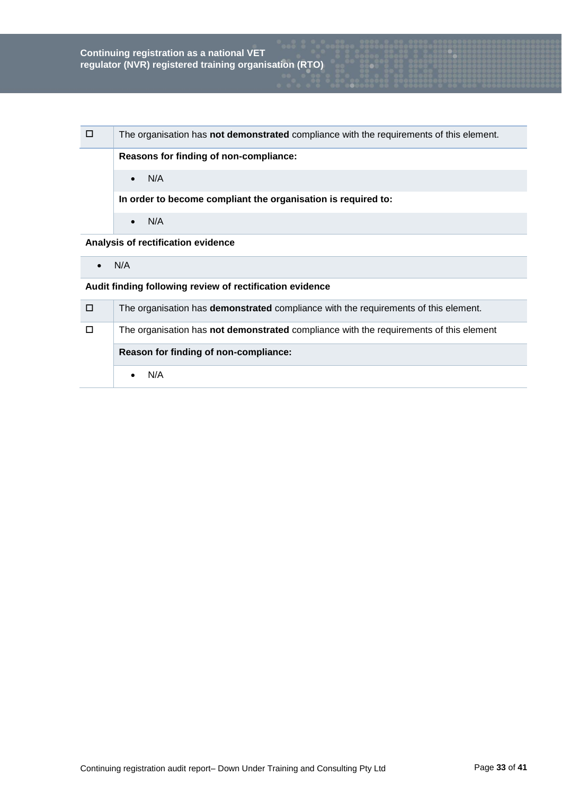| □                                  | The organisation has <b>not demonstrated</b> compliance with the requirements of this element. |
|------------------------------------|------------------------------------------------------------------------------------------------|
|                                    | Reasons for finding of non-compliance:                                                         |
|                                    | N/A<br>$\bullet$                                                                               |
|                                    | In order to become compliant the organisation is required to:                                  |
|                                    | N/A<br>$\bullet$                                                                               |
| Analysis of rectification evidence |                                                                                                |

 $\bullet$  N/A

| $\Box$ | The organisation has <b>demonstrated</b> compliance with the requirements of this element.    |  |
|--------|-----------------------------------------------------------------------------------------------|--|
| $\Box$ | The organisation has <b>not demonstrated</b> compliance with the requirements of this element |  |
|        | Reason for finding of non-compliance:                                                         |  |
|        |                                                                                               |  |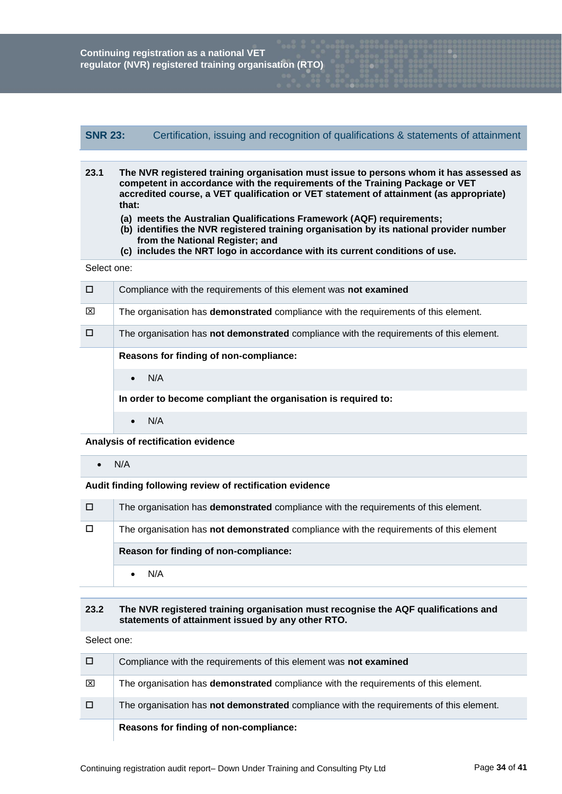# **SNR 23:** Certification, issuing and recognition of qualifications & statements of attainment

- **23.1 The NVR registered training organisation must issue to persons whom it has assessed as competent in accordance with the requirements of the Training Package or VET accredited course, a VET qualification or VET statement of attainment (as appropriate) that:**
	- **(a) meets the Australian Qualifications Framework (AQF) requirements;**
	- **(b) identifies the NVR registered training organisation by its national provider number from the National Register; and**
	- **(c) includes the NRT logo in accordance with its current conditions of use.**

#### Select one:

| п | Compliance with the requirements of this element was not examined                          |
|---|--------------------------------------------------------------------------------------------|
| ⊠ | The organisation has <b>demonstrated</b> compliance with the requirements of this element. |
| П | The organisation has not demonstrated compliance with the requirements of this element.    |
|   | Reasons for finding of non-compliance:                                                     |
|   | N/A<br>$\bullet$                                                                           |
|   | In order to become compliant the organisation is required to:                              |
|   | N/A                                                                                        |

#### **Analysis of rectification evidence**

 $\bullet$  N/A

## **Audit finding following review of rectification evidence**

| 0      | The organisation has <b>demonstrated</b> compliance with the requirements of this element. |  |  |
|--------|--------------------------------------------------------------------------------------------|--|--|
| $\Box$ | The organisation has not demonstrated compliance with the requirements of this element     |  |  |
|        | Reason for finding of non-compliance:                                                      |  |  |
|        |                                                                                            |  |  |

#### **23.2 The NVR registered training organisation must recognise the AQF qualifications and statements of attainment issued by any other RTO.**

|   | Reasons for finding of non-compliance:                                                     |
|---|--------------------------------------------------------------------------------------------|
| □ | The organisation has not demonstrated compliance with the requirements of this element.    |
| ⊠ | The organisation has <b>demonstrated</b> compliance with the requirements of this element. |
| □ | Compliance with the requirements of this element was not examined                          |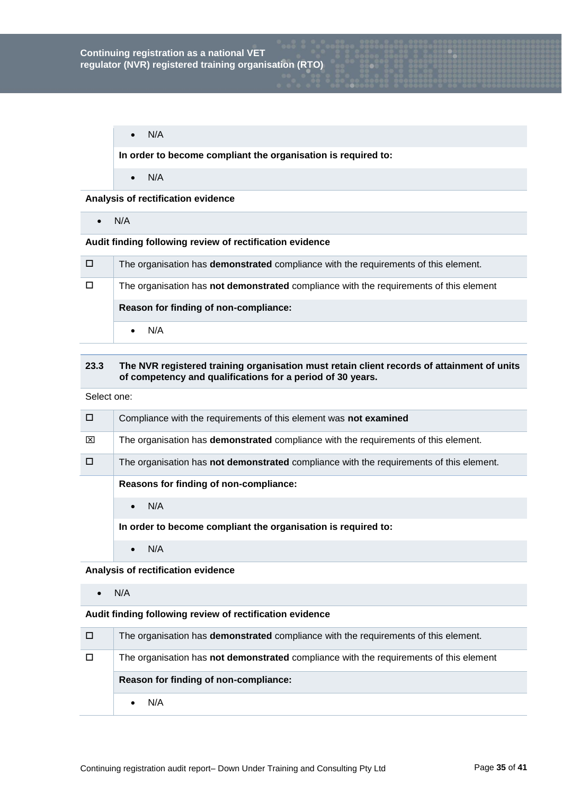$\bullet$  N/A

**In order to become compliant the organisation is required to:**

 $\bullet$  N/A

**Analysis of rectification evidence**

 $\bullet$  N/A

# **Audit finding following review of rectification evidence**

| $\Box$ | The organisation has <b>demonstrated</b> compliance with the requirements of this element. |  |  |
|--------|--------------------------------------------------------------------------------------------|--|--|
| □      | The organisation has not demonstrated compliance with the requirements of this element     |  |  |
|        | Reason for finding of non-compliance:                                                      |  |  |
|        | N/A                                                                                        |  |  |

# **23.3 The NVR registered training organisation must retain client records of attainment of units of competency and qualifications for a period of 30 years.**

Select one:

| □ | Compliance with the requirements of this element was not examined                              |
|---|------------------------------------------------------------------------------------------------|
| ⊠ | The organisation has <b>demonstrated</b> compliance with the requirements of this element.     |
| □ | The organisation has <b>not demonstrated</b> compliance with the requirements of this element. |
|   | Reasons for finding of non-compliance:                                                         |
|   | N/A                                                                                            |
|   | In order to become compliant the organisation is required to:                                  |
|   | N/A                                                                                            |

## **Analysis of rectification evidence**

 $\bullet$  N/A

| □      | The organisation has <b>demonstrated</b> compliance with the requirements of this element.    |  |  |
|--------|-----------------------------------------------------------------------------------------------|--|--|
| $\Box$ | The organisation has <b>not demonstrated</b> compliance with the requirements of this element |  |  |
|        | Reason for finding of non-compliance:                                                         |  |  |
|        |                                                                                               |  |  |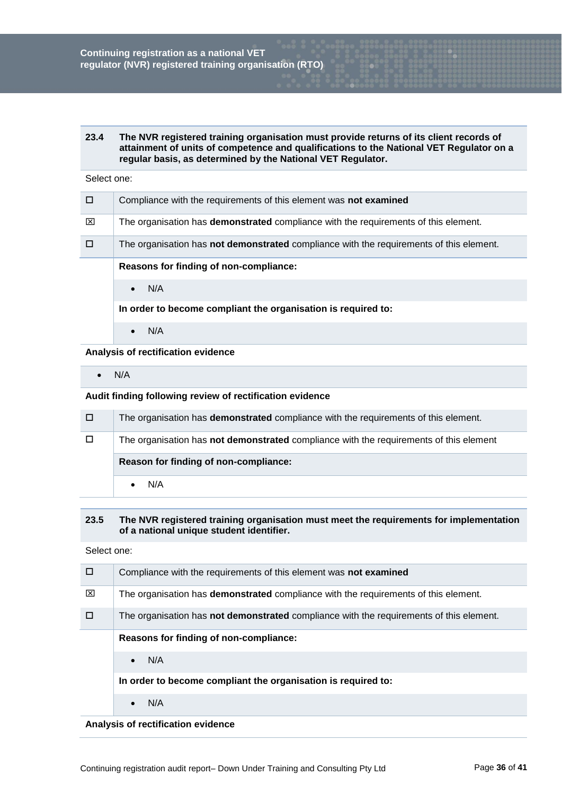#### **23.4 The NVR registered training organisation must provide returns of its client records of attainment of units of competence and qualifications to the National VET Regulator on a regular basis, as determined by the National VET Regulator.**

#### Select one:

| П | Compliance with the requirements of this element was not examined                              |
|---|------------------------------------------------------------------------------------------------|
| ⊠ | The organisation has <b>demonstrated</b> compliance with the requirements of this element.     |
|   | The organisation has <b>not demonstrated</b> compliance with the requirements of this element. |
|   | Reasons for finding of non-compliance:                                                         |
|   | N/A<br>$\bullet$                                                                               |
|   | In order to become compliant the organisation is required to:                                  |
|   | N/A                                                                                            |

**Analysis of rectification evidence**

 $\bullet$  N/A

**Audit finding following review of rectification evidence**

| □      | The organisation has <b>demonstrated</b> compliance with the requirements of this element. |  |  |
|--------|--------------------------------------------------------------------------------------------|--|--|
| $\Box$ | The organisation has not demonstrated compliance with the requirements of this element     |  |  |
|        | Reason for finding of non-compliance:                                                      |  |  |
|        | N/A                                                                                        |  |  |

## **23.5 The NVR registered training organisation must meet the requirements for implementation of a national unique student identifier.**

Select one:

| □ | Compliance with the requirements of this element was not examined                          |
|---|--------------------------------------------------------------------------------------------|
| ⊠ | The organisation has <b>demonstrated</b> compliance with the requirements of this element. |
|   | The organisation has not demonstrated compliance with the requirements of this element.    |
|   | Reasons for finding of non-compliance:                                                     |
|   | N/A<br>$\bullet$                                                                           |
|   | In order to become compliant the organisation is required to:                              |
|   | N/A                                                                                        |

**Analysis of rectification evidence**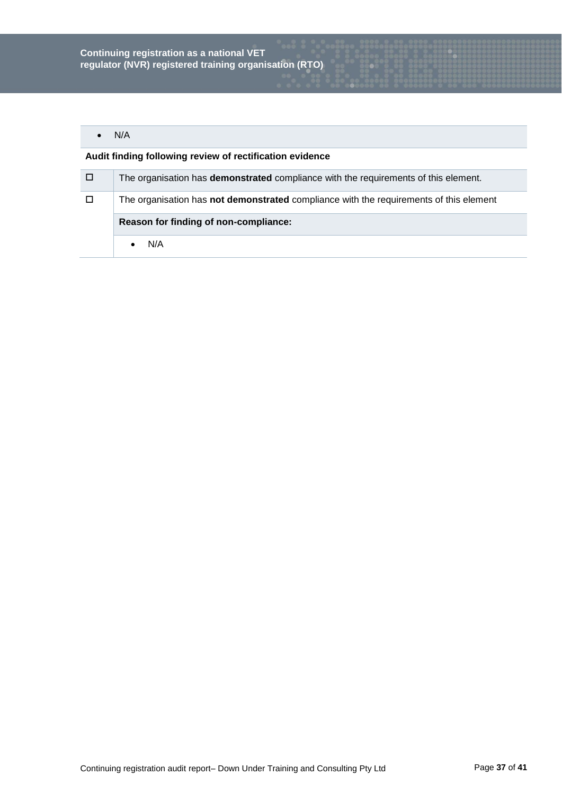# $\bullet$  N/A

| / O /  | The organisation has <b>demonstrated</b> compliance with the requirements of this element. |
|--------|--------------------------------------------------------------------------------------------|
| $\Box$ | The organisation has not demonstrated compliance with the requirements of this element     |
|        | Reason for finding of non-compliance:                                                      |
|        | N/A                                                                                        |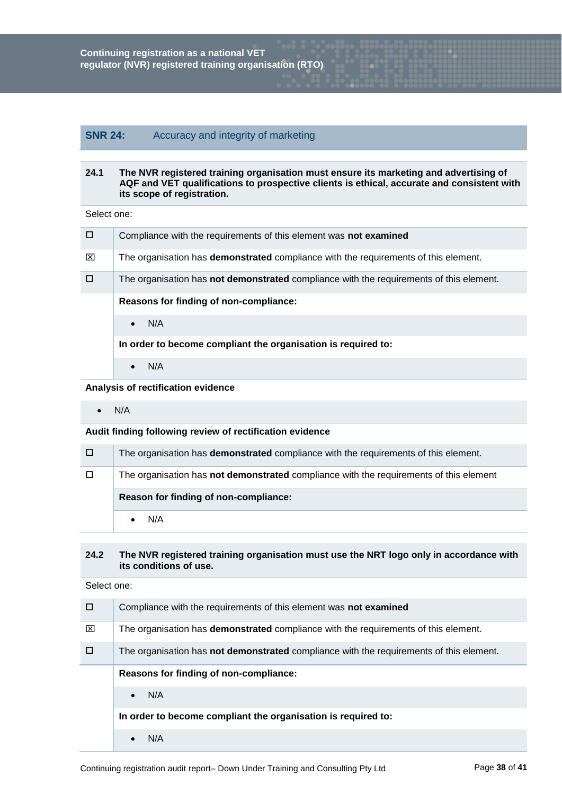# **SNR 24:** Accuracy and integrity of marketing

## **24.1 The NVR registered training organisation must ensure its marketing and advertising of AQF and VET qualifications to prospective clients is ethical, accurate and consistent with its scope of registration.**

Select one:

| □ | Compliance with the requirements of this element was not examined                              |
|---|------------------------------------------------------------------------------------------------|
| ⊠ | The organisation has <b>demonstrated</b> compliance with the requirements of this element.     |
| □ | The organisation has <b>not demonstrated</b> compliance with the requirements of this element. |
|   | Reasons for finding of non-compliance:                                                         |
|   | N/A<br>$\bullet$                                                                               |
|   | In order to become compliant the organisation is required to:                                  |
|   | N/A<br>$\bullet$                                                                               |

# **Analysis of rectification evidence**

 $\bullet$  N/A

# **Audit finding following review of rectification evidence**

| $\Box$ | The organisation has <b>demonstrated</b> compliance with the requirements of this element. |
|--------|--------------------------------------------------------------------------------------------|
|        | The organisation has not demonstrated compliance with the requirements of this element     |
|        |                                                                                            |
|        | Reason for finding of non-compliance:                                                      |

# **24.2 The NVR registered training organisation must use the NRT logo only in accordance with its conditions of use.**

| п | Compliance with the requirements of this element was not examined                              |
|---|------------------------------------------------------------------------------------------------|
| ⊠ | The organisation has <b>demonstrated</b> compliance with the requirements of this element.     |
| п | The organisation has <b>not demonstrated</b> compliance with the requirements of this element. |
|   | Reasons for finding of non-compliance:                                                         |
|   | N/A                                                                                            |
|   | In order to become compliant the organisation is required to:                                  |
|   | N/A                                                                                            |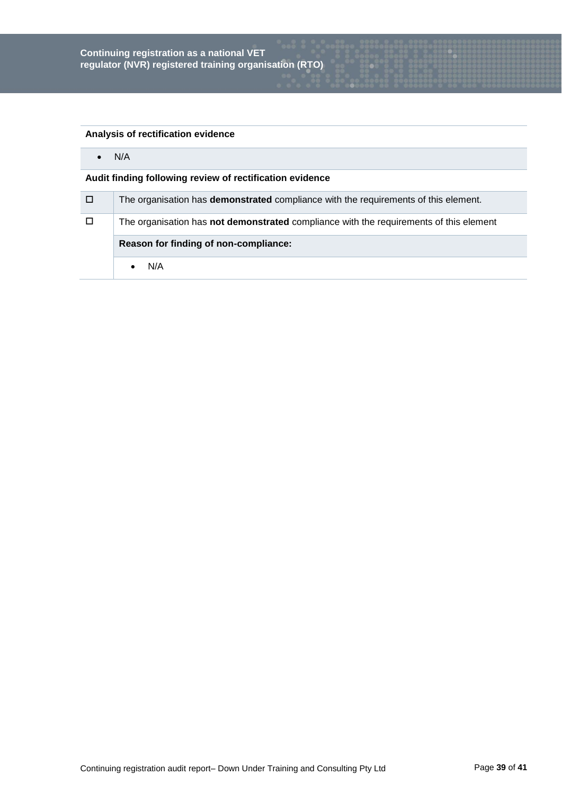# **Analysis of rectification evidence**

 $\bullet$  N/A

| □      | The organisation has <b>demonstrated</b> compliance with the requirements of this element. |
|--------|--------------------------------------------------------------------------------------------|
| $\Box$ | The organisation has not demonstrated compliance with the requirements of this element     |
|        |                                                                                            |
|        | Reason for finding of non-compliance:                                                      |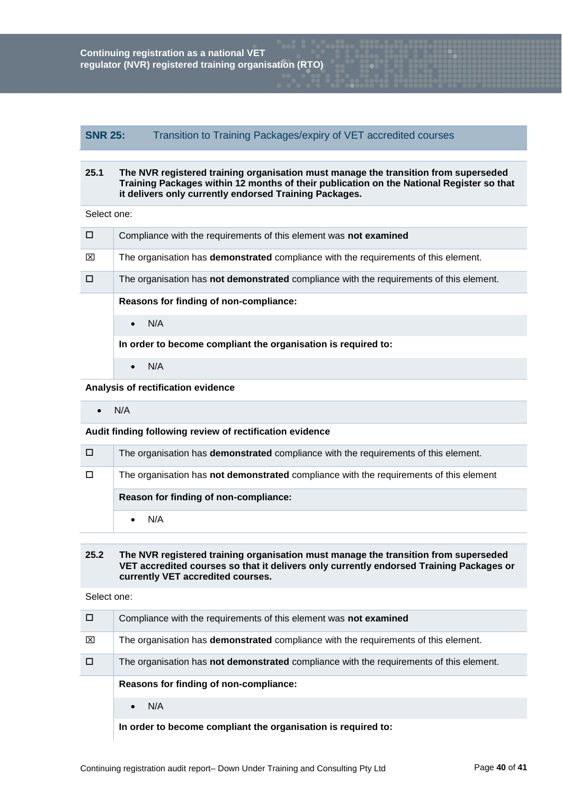# **SNR 25:** Transition to Training Packages/expiry of VET accredited courses

## **25.1 The NVR registered training organisation must manage the transition from superseded Training Packages within 12 months of their publication on the National Register so that it delivers only currently endorsed Training Packages.**

Select one:

| $\Box$ | Compliance with the requirements of this element was not examined                          |
|--------|--------------------------------------------------------------------------------------------|
| ⊠      | The organisation has <b>demonstrated</b> compliance with the requirements of this element. |
| П      | The organisation has not demonstrated compliance with the requirements of this element.    |
|        | Reasons for finding of non-compliance:                                                     |
|        | N/A<br>$\bullet$                                                                           |
|        | In order to become compliant the organisation is required to:                              |
|        | N/A<br>$\bullet$                                                                           |

# **Analysis of rectification evidence**

 $\bullet$  N/A

## **Audit finding following review of rectification evidence**

| □ | The organisation has <b>demonstrated</b> compliance with the requirements of this element. |
|---|--------------------------------------------------------------------------------------------|
|   | The organisation has not demonstrated compliance with the requirements of this element     |
|   |                                                                                            |
|   | Reason for finding of non-compliance:                                                      |

# **25.2 The NVR registered training organisation must manage the transition from superseded VET accredited courses so that it delivers only currently endorsed Training Packages or currently VET accredited courses.**

| □ | Compliance with the requirements of this element was not examined                          |
|---|--------------------------------------------------------------------------------------------|
| ⊠ | The organisation has <b>demonstrated</b> compliance with the requirements of this element. |
|   | The organisation has not demonstrated compliance with the requirements of this element.    |
|   | Reasons for finding of non-compliance:                                                     |
|   | N/A<br>$\bullet$                                                                           |
|   | In order to become compliant the organisation is required to:                              |